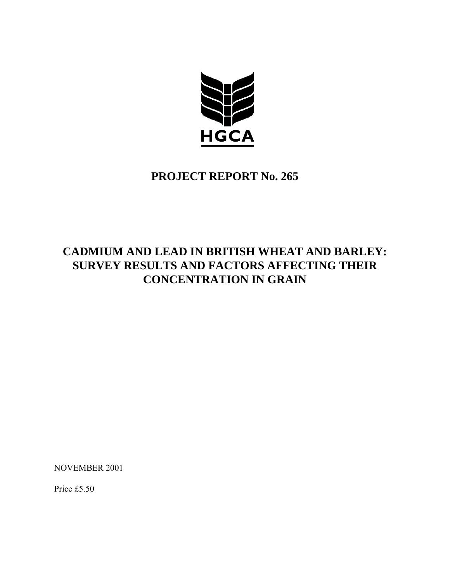

## **PROJECT REPORT No. 265**

## **CADMIUM AND LEAD IN BRITISH WHEAT AND BARLEY: SURVEY RESULTS AND FACTORS AFFECTING THEIR CONCENTRATION IN GRAIN**

NOVEMBER 2001

Price £5.50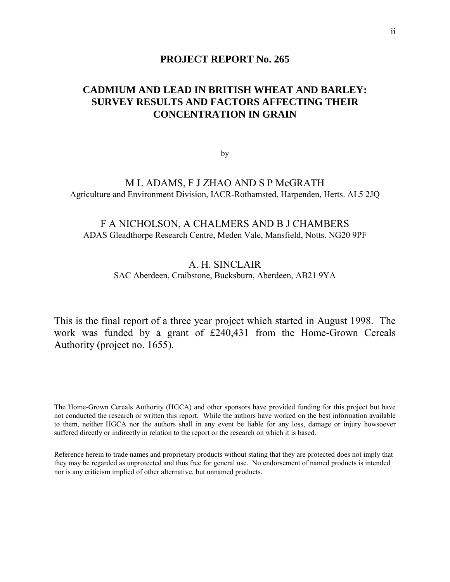### **PROJECT REPORT No. 265**

### **CADMIUM AND LEAD IN BRITISH WHEAT AND BARLEY: SURVEY RESULTS AND FACTORS AFFECTING THEIR CONCENTRATION IN GRAIN**

by

### M L ADAMS, F J ZHAO AND S P McGRATH Agriculture and Environment Division, IACR-Rothamsted, Harpenden, Herts. AL5 2JQ

### F A NICHOLSON, A CHALMERS AND B J CHAMBERS ADAS Gleadthorpe Research Centre, Meden Vale, Mansfield, Notts. NG20 9PF

### A. H. SINCLAIR SAC Aberdeen, Craibstone, Bucksburn, Aberdeen, AB21 9YA

This is the final report of a three year project which started in August 1998. The work was funded by a grant of £240,431 from the Home-Grown Cereals Authority (project no. 1655).

The Home-Grown Cereals Authority (HGCA) and other sponsors have provided funding for this project but have not conducted the research or written this report. While the authors have worked on the best information available to them, neither HGCA nor the authors shall in any event be liable for any loss, damage or injury howsoever suffered directly or indirectly in relation to the report or the research on which it is based.

Reference herein to trade names and proprietary products without stating that they are protected does not imply that they may be regarded as unprotected and thus free for general use. No endorsement of named products is intended nor is any criticism implied of other alternative, but unnamed products.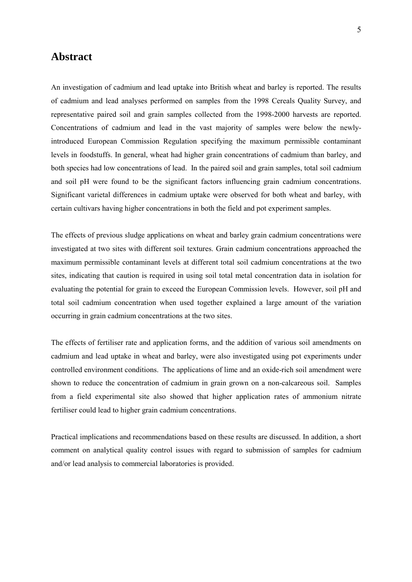### <span id="page-4-0"></span>**Abstract**

An investigation of cadmium and lead uptake into British wheat and barley is reported. The results of cadmium and lead analyses performed on samples from the 1998 Cereals Quality Survey, and representative paired soil and grain samples collected from the 1998-2000 harvests are reported. Concentrations of cadmium and lead in the vast majority of samples were below the newlyintroduced European Commission Regulation specifying the maximum permissible contaminant levels in foodstuffs. In general, wheat had higher grain concentrations of cadmium than barley, and both species had low concentrations of lead. In the paired soil and grain samples, total soil cadmium and soil pH were found to be the significant factors influencing grain cadmium concentrations. Significant varietal differences in cadmium uptake were observed for both wheat and barley, with certain cultivars having higher concentrations in both the field and pot experiment samples.

The effects of previous sludge applications on wheat and barley grain cadmium concentrations were investigated at two sites with different soil textures. Grain cadmium concentrations approached the maximum permissible contaminant levels at different total soil cadmium concentrations at the two sites, indicating that caution is required in using soil total metal concentration data in isolation for evaluating the potential for grain to exceed the European Commission levels. However, soil pH and total soil cadmium concentration when used together explained a large amount of the variation occurring in grain cadmium concentrations at the two sites.

The effects of fertiliser rate and application forms, and the addition of various soil amendments on cadmium and lead uptake in wheat and barley, were also investigated using pot experiments under controlled environment conditions. The applications of lime and an oxide-rich soil amendment were shown to reduce the concentration of cadmium in grain grown on a non-calcareous soil. Samples from a field experimental site also showed that higher application rates of ammonium nitrate fertiliser could lead to higher grain cadmium concentrations.

Practical implications and recommendations based on these results are discussed. In addition, a short comment on analytical quality control issues with regard to submission of samples for cadmium and/or lead analysis to commercial laboratories is provided.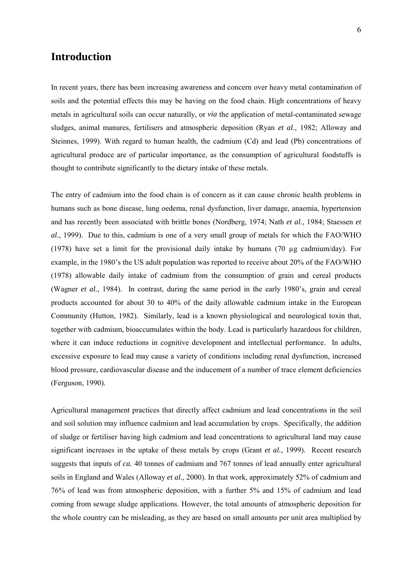### <span id="page-5-0"></span>**Introduction**

In recent years, there has been increasing awareness and concern over heavy metal contamination of soils and the potential effects this may be having on the food chain. High concentrations of heavy metals in agricultural soils can occur naturally, or *via* the application of metal-contaminated sewage sludges, animal manures, fertilisers and atmospheric deposition (Ryan *et al.*, 1982; Alloway and Steinnes, 1999). With regard to human health, the cadmium (Cd) and lead (Pb) concentrations of agricultural produce are of particular importance, as the consumption of agricultural foodstuffs is thought to contribute significantly to the dietary intake of these metals.

The entry of cadmium into the food chain is of concern as it can cause chronic health problems in humans such as bone disease, lung oedema, renal dysfunction, liver damage, anaemia, hypertension and has recently been associated with brittle bones (Nordberg, 1974; Nath *et al.*, 1984; Staessen *et al.*, 1999). Due to this, cadmium is one of a very small group of metals for which the FAO/WHO (1978) have set a limit for the provisional daily intake by humans (70 µg cadmium/day). For example, in the 1980's the US adult population was reported to receive about 20% of the FAO/WHO (1978) allowable daily intake of cadmium from the consumption of grain and cereal products (Wagner *et al.*, 1984). In contrast, during the same period in the early 1980's, grain and cereal products accounted for about 30 to 40% of the daily allowable cadmium intake in the European Community (Hutton, 1982). Similarly, lead is a known physiological and neurological toxin that, together with cadmium, bioaccumulates within the body. Lead is particularly hazardous for children, where it can induce reductions in cognitive development and intellectual performance. In adults, excessive exposure to lead may cause a variety of conditions including renal dysfunction, increased blood pressure, cardiovascular disease and the inducement of a number of trace element deficiencies (Ferguson, 1990).

Agricultural management practices that directly affect cadmium and lead concentrations in the soil and soil solution may influence cadmium and lead accumulation by crops. Specifically, the addition of sludge or fertiliser having high cadmium and lead concentrations to agricultural land may cause significant increases in the uptake of these metals by crops (Grant *et al.*, 1999). Recent research suggests that inputs of *ca*. 40 tonnes of cadmium and 767 tonnes of lead annually enter agricultural soils in England and Wales (Alloway *et al.*, 2000). In that work, approximately 52% of cadmium and 76% of lead was from atmospheric deposition, with a further 5% and 15% of cadmium and lead coming from sewage sludge applications. However, the total amounts of atmospheric deposition for the whole country can be misleading, as they are based on small amounts per unit area multiplied by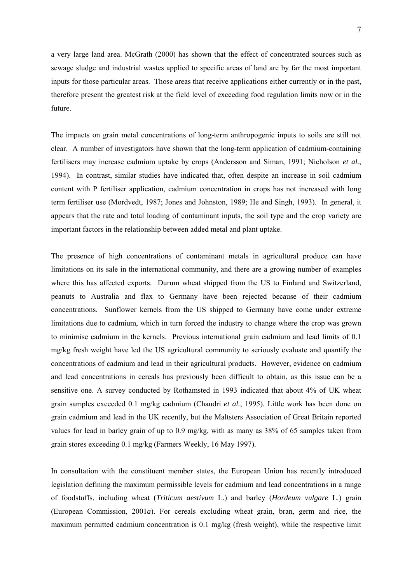a very large land area. McGrath (2000) has shown that the effect of concentrated sources such as sewage sludge and industrial wastes applied to specific areas of land are by far the most important inputs for those particular areas. Those areas that receive applications either currently or in the past, therefore present the greatest risk at the field level of exceeding food regulation limits now or in the future.

The impacts on grain metal concentrations of long-term anthropogenic inputs to soils are still not clear. A number of investigators have shown that the long-term application of cadmium-containing fertilisers may increase cadmium uptake by crops (Andersson and Siman, 1991; Nicholson *et al.*, 1994). In contrast, similar studies have indicated that, often despite an increase in soil cadmium content with P fertiliser application, cadmium concentration in crops has not increased with long term fertiliser use (Mordvedt, 1987; Jones and Johnston, 1989; He and Singh, 1993). In general, it appears that the rate and total loading of contaminant inputs, the soil type and the crop variety are important factors in the relationship between added metal and plant uptake.

The presence of high concentrations of contaminant metals in agricultural produce can have limitations on its sale in the international community, and there are a growing number of examples where this has affected exports. Durum wheat shipped from the US to Finland and Switzerland, peanuts to Australia and flax to Germany have been rejected because of their cadmium concentrations. Sunflower kernels from the US shipped to Germany have come under extreme limitations due to cadmium, which in turn forced the industry to change where the crop was grown to minimise cadmium in the kernels. Previous international grain cadmium and lead limits of 0.1 mg/kg fresh weight have led the US agricultural community to seriously evaluate and quantify the concentrations of cadmium and lead in their agricultural products. However, evidence on cadmium and lead concentrations in cereals has previously been difficult to obtain, as this issue can be a sensitive one. A survey conducted by Rothamsted in 1993 indicated that about 4% of UK wheat grain samples exceeded 0.1 mg/kg cadmium (Chaudri *et al.*, 1995). Little work has been done on grain cadmium and lead in the UK recently, but the Maltsters Association of Great Britain reported values for lead in barley grain of up to 0.9 mg/kg, with as many as 38% of 65 samples taken from grain stores exceeding 0.1 mg/kg (Farmers Weekly, 16 May 1997).

In consultation with the constituent member states, the European Union has recently introduced legislation defining the maximum permissible levels for cadmium and lead concentrations in a range of foodstuffs, including wheat (*Triticum aestivum* L.) and barley (*Hordeum vulgare* L.) grain (European Commission, 2001*a*). For cereals excluding wheat grain, bran, germ and rice, the maximum permitted cadmium concentration is 0.1 mg/kg (fresh weight), while the respective limit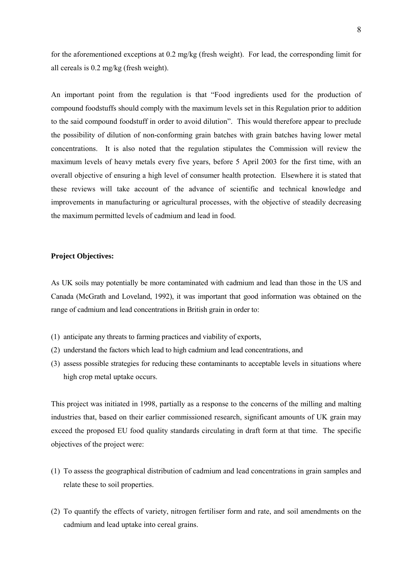for the aforementioned exceptions at 0.2 mg/kg (fresh weight). For lead, the corresponding limit for all cereals is 0.2 mg/kg (fresh weight).

An important point from the regulation is that "Food ingredients used for the production of compound foodstuffs should comply with the maximum levels set in this Regulation prior to addition to the said compound foodstuff in order to avoid dilution". This would therefore appear to preclude the possibility of dilution of non-conforming grain batches with grain batches having lower metal concentrations. It is also noted that the regulation stipulates the Commission will review the maximum levels of heavy metals every five years, before 5 April 2003 for the first time, with an overall objective of ensuring a high level of consumer health protection. Elsewhere it is stated that these reviews will take account of the advance of scientific and technical knowledge and improvements in manufacturing or agricultural processes, with the objective of steadily decreasing the maximum permitted levels of cadmium and lead in food.

### **Project Objectives:**

As UK soils may potentially be more contaminated with cadmium and lead than those in the US and Canada (McGrath and Loveland, 1992), it was important that good information was obtained on the range of cadmium and lead concentrations in British grain in order to:

- (1) anticipate any threats to farming practices and viability of exports,
- (2) understand the factors which lead to high cadmium and lead concentrations, and
- (3) assess possible strategies for reducing these contaminants to acceptable levels in situations where high crop metal uptake occurs.

This project was initiated in 1998, partially as a response to the concerns of the milling and malting industries that, based on their earlier commissioned research, significant amounts of UK grain may exceed the proposed EU food quality standards circulating in draft form at that time. The specific objectives of the project were:

- (1) To assess the geographical distribution of cadmium and lead concentrations in grain samples and relate these to soil properties.
- (2) To quantify the effects of variety, nitrogen fertiliser form and rate, and soil amendments on the cadmium and lead uptake into cereal grains.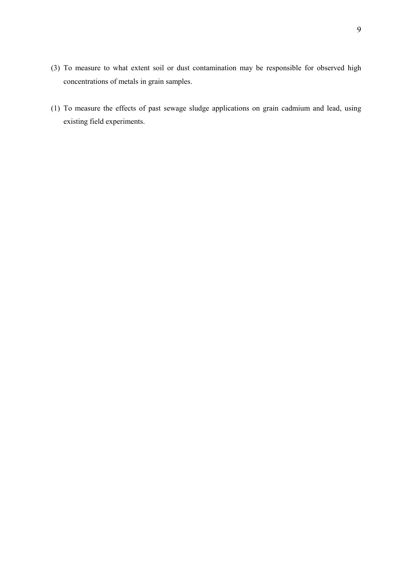- (3) To measure to what extent soil or dust contamination may be responsible for observed high concentrations of metals in grain samples.
- (1) To measure the effects of past sewage sludge applications on grain cadmium and lead, using existing field experiments.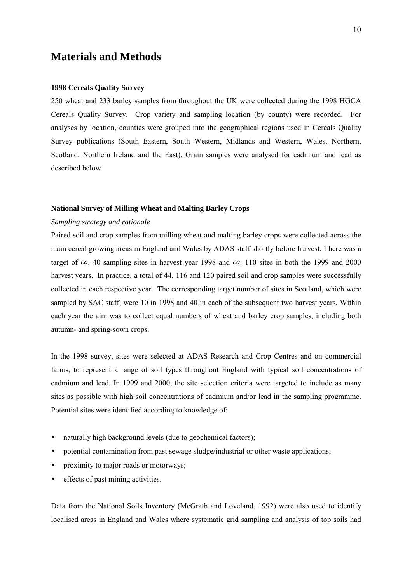### <span id="page-9-0"></span>**Materials and Methods**

### **1998 Cereals Quality Survey**

250 wheat and 233 barley samples from throughout the UK were collected during the 1998 HGCA Cereals Quality Survey. Crop variety and sampling location (by county) were recorded. For analyses by location, counties were grouped into the geographical regions used in Cereals Quality Survey publications (South Eastern, South Western, Midlands and Western, Wales, Northern, Scotland, Northern Ireland and the East). Grain samples were analysed for cadmium and lead as described below.

### **National Survey of Milling Wheat and Malting Barley Crops**

### *Sampling strategy and rationale*

Paired soil and crop samples from milling wheat and malting barley crops were collected across the main cereal growing areas in England and Wales by ADAS staff shortly before harvest. There was a target of *ca*. 40 sampling sites in harvest year 1998 and *ca*. 110 sites in both the 1999 and 2000 harvest years. In practice, a total of 44, 116 and 120 paired soil and crop samples were successfully collected in each respective year. The corresponding target number of sites in Scotland, which were sampled by SAC staff, were 10 in 1998 and 40 in each of the subsequent two harvest years. Within each year the aim was to collect equal numbers of wheat and barley crop samples, including both autumn- and spring-sown crops.

In the 1998 survey, sites were selected at ADAS Research and Crop Centres and on commercial farms, to represent a range of soil types throughout England with typical soil concentrations of cadmium and lead. In 1999 and 2000, the site selection criteria were targeted to include as many sites as possible with high soil concentrations of cadmium and/or lead in the sampling programme. Potential sites were identified according to knowledge of:

- naturally high background levels (due to geochemical factors);
- potential contamination from past sewage sludge/industrial or other waste applications;
- proximity to major roads or motorways;
- effects of past mining activities.

Data from the National Soils Inventory (McGrath and Loveland, 1992) were also used to identify localised areas in England and Wales where systematic grid sampling and analysis of top soils had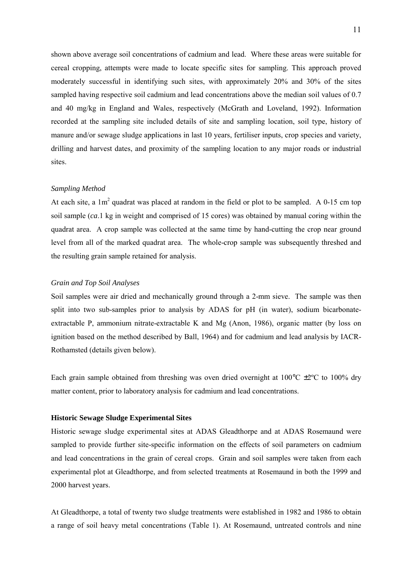<span id="page-10-0"></span>shown above average soil concentrations of cadmium and lead. Where these areas were suitable for cereal cropping, attempts were made to locate specific sites for sampling. This approach proved moderately successful in identifying such sites, with approximately 20% and 30% of the sites sampled having respective soil cadmium and lead concentrations above the median soil values of 0.7 and 40 mg/kg in England and Wales, respectively (McGrath and Loveland, 1992). Information recorded at the sampling site included details of site and sampling location, soil type, history of manure and/or sewage sludge applications in last 10 years, fertiliser inputs, crop species and variety, drilling and harvest dates, and proximity of the sampling location to any major roads or industrial sites.

### *Sampling Method*

At each site, a  $1m^2$  quadrat was placed at random in the field or plot to be sampled. A 0-15 cm top soil sample (*ca*.1 kg in weight and comprised of 15 cores) was obtained by manual coring within the quadrat area. A crop sample was collected at the same time by hand-cutting the crop near ground level from all of the marked quadrat area. The whole-crop sample was subsequently threshed and the resulting grain sample retained for analysis.

### *Grain and Top Soil Analyses*

Soil samples were air dried and mechanically ground through a 2-mm sieve. The sample was then split into two sub-samples prior to analysis by ADAS for pH (in water), sodium bicarbonateextractable P, ammonium nitrate-extractable K and Mg (Anon, 1986), organic matter (by loss on ignition based on the method described by Ball, 1964) and for cadmium and lead analysis by IACR-Rothamsted (details given below).

Each grain sample obtained from threshing was oven dried overnight at  $100^{\circ}$ C  $\pm 2^{\circ}$ C to  $100\%$  dry matter content, prior to laboratory analysis for cadmium and lead concentrations.

### **Historic Sewage Sludge Experimental Sites**

Historic sewage sludge experimental sites at ADAS Gleadthorpe and at ADAS Rosemaund were sampled to provide further site-specific information on the effects of soil parameters on cadmium and lead concentrations in the grain of cereal crops. Grain and soil samples were taken from each experimental plot at Gleadthorpe, and from selected treatments at Rosemaund in both the 1999 and 2000 harvest years.

At Gleadthorpe, a total of twenty two sludge treatments were established in 1982 and 1986 to obtain a range of soil heavy metal concentrations (Table 1). At Rosemaund, untreated controls and nine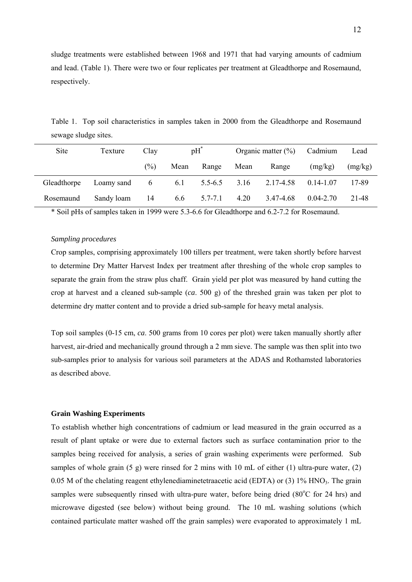<span id="page-11-0"></span>sludge treatments were established between 1968 and 1971 that had varying amounts of cadmium and lead. (Table 1). There were two or four replicates per treatment at Gleadthorpe and Rosemaund, respectively.

Table 1. Top soil characteristics in samples taken in 2000 from the Gleadthorpe and Rosemaund sewage sludge sites.

| Site        | Texture    | Clay   |      | $pH^*$        |      | Organic matter $(\% )$ | Cadmium       | Lead    |
|-------------|------------|--------|------|---------------|------|------------------------|---------------|---------|
|             |            | $(\%)$ | Mean | Range         | Mean | Range                  | (mg/kg)       | (mg/kg) |
| Gleadthorpe | Loamy sand | -6     |      | 6.1 $5.5-6.5$ | 3.16 | 2.17-4.58              | $0.14 - 1.07$ | 17-89   |
| Rosemaund   | Sandy loam | -14    | 6.6  | $5.7 - 7.1$   | 4.20 | 3.47-4.68              | $0.04 - 2.70$ | 21-48   |

\* Soil pHs of samples taken in 1999 were 5.3-6.6 for Gleadthorpe and 6.2-7.2 for Rosemaund.

### *Sampling procedures*

Crop samples, comprising approximately 100 tillers per treatment, were taken shortly before harvest to determine Dry Matter Harvest Index per treatment after threshing of the whole crop samples to separate the grain from the straw plus chaff. Grain yield per plot was measured by hand cutting the crop at harvest and a cleaned sub-sample (*ca*. 500 g) of the threshed grain was taken per plot to determine dry matter content and to provide a dried sub-sample for heavy metal analysis.

Top soil samples (0-15 cm, *ca*. 500 grams from 10 cores per plot) were taken manually shortly after harvest, air-dried and mechanically ground through a 2 mm sieve. The sample was then split into two sub-samples prior to analysis for various soil parameters at the ADAS and Rothamsted laboratories as described above.

### **Grain Washing Experiments**

To establish whether high concentrations of cadmium or lead measured in the grain occurred as a result of plant uptake or were due to external factors such as surface contamination prior to the samples being received for analysis, a series of grain washing experiments were performed. Sub samples of whole grain  $(5 \text{ g})$  were rinsed for 2 mins with 10 mL of either  $(1)$  ultra-pure water,  $(2)$ 0.05 M of the chelating reagent ethylenediaminetetraacetic acid (EDTA) or (3)  $1\%$  HNO<sub>3</sub>. The grain samples were subsequently rinsed with ultra-pure water, before being dried (80°C for 24 hrs) and microwave digested (see below) without being ground. The 10 mL washing solutions (which contained particulate matter washed off the grain samples) were evaporated to approximately 1 mL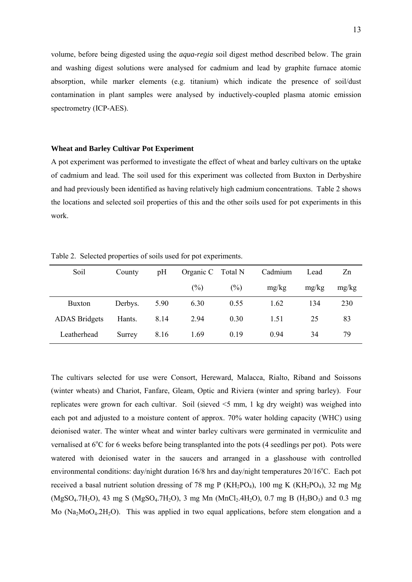<span id="page-12-0"></span>volume, before being digested using the *aqua-regia* soil digest method described below. The grain and washing digest solutions were analysed for cadmium and lead by graphite furnace atomic absorption, while marker elements (e.g. titanium) which indicate the presence of soil/dust contamination in plant samples were analysed by inductively-coupled plasma atomic emission spectrometry (ICP-AES).

### **Wheat and Barley Cultivar Pot Experiment**

A pot experiment was performed to investigate the effect of wheat and barley cultivars on the uptake of cadmium and lead. The soil used for this experiment was collected from Buxton in Derbyshire and had previously been identified as having relatively high cadmium concentrations. Table 2 shows the locations and selected soil properties of this and the other soils used for pot experiments in this work.

| Soil                 | County  | pH   | Organic C Total N |        | Cadmium | Lead  | Zn    |
|----------------------|---------|------|-------------------|--------|---------|-------|-------|
|                      |         |      | $\frac{6}{2}$     | $(\%)$ | mg/kg   | mg/kg | mg/kg |
| <b>Buxton</b>        | Derbys. | 5.90 | 6.30              | 0.55   | 1.62    | 134   | 230   |
| <b>ADAS</b> Bridgets | Hants.  | 8.14 | 2.94              | 0.30   | 1.51    | 25    | 83    |
| Leatherhead          | Surrey  | 8.16 | 1.69              | 0.19   | 0.94    | 34    | 79    |

Table 2. Selected properties of soils used for pot experiments.

The cultivars selected for use were Consort, Hereward, Malacca, Rialto, Riband and Soissons (winter wheats) and Chariot, Fanfare, Gleam, Optic and Riviera (winter and spring barley). Four replicates were grown for each cultivar. Soil (sieved <5 mm, 1 kg dry weight) was weighed into each pot and adjusted to a moisture content of approx. 70% water holding capacity (WHC) using deionised water. The winter wheat and winter barley cultivars were germinated in vermiculite and vernalised at  $6^{\circ}$ C for 6 weeks before being transplanted into the pots (4 seedlings per pot). Pots were watered with deionised water in the saucers and arranged in a glasshouse with controlled environmental conditions: day/night duration 16/8 hrs and day/night temperatures 20/16°C. Each pot received a basal nutrient solution dressing of 78 mg P (KH<sub>2</sub>PO<sub>4</sub>), 100 mg K (KH<sub>2</sub>PO<sub>4</sub>), 32 mg Mg  $(MgSO<sub>4</sub>.7H<sub>2</sub>O)$ , 43 mg S (MgSO<sub>4</sub>.7H<sub>2</sub>O), 3 mg Mn (MnCl<sub>2</sub>.4H<sub>2</sub>O), 0.7 mg B (H<sub>3</sub>BO<sub>3</sub>) and 0.3 mg Mo  $(Na_2MO_4.2H_2O)$ . This was applied in two equal applications, before stem elongation and a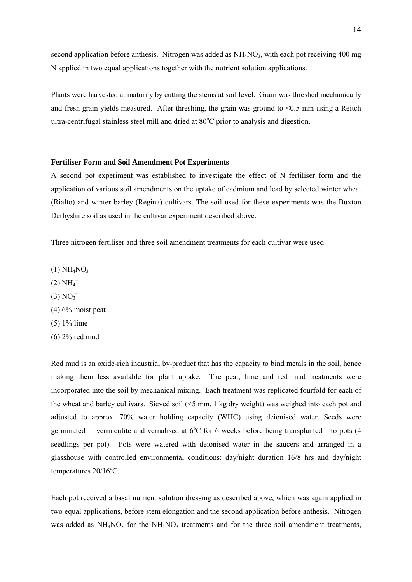<span id="page-13-0"></span>second application before anthesis. Nitrogen was added as  $NH<sub>4</sub>NO<sub>3</sub>$ , with each pot receiving 400 mg N applied in two equal applications together with the nutrient solution applications.

Plants were harvested at maturity by cutting the stems at soil level. Grain was threshed mechanically and fresh grain yields measured. After threshing, the grain was ground to  $\leq 0.5$  mm using a Reitch ultra-centrifugal stainless steel mill and dried at  $80^{\circ}$ C prior to analysis and digestion.

### **Fertiliser Form and Soil Amendment Pot Experiments**

A second pot experiment was established to investigate the effect of N fertiliser form and the application of various soil amendments on the uptake of cadmium and lead by selected winter wheat (Rialto) and winter barley (Regina) cultivars. The soil used for these experiments was the Buxton Derbyshire soil as used in the cultivar experiment described above.

Three nitrogen fertiliser and three soil amendment treatments for each cultivar were used:

- $(1) NH<sub>4</sub>NO<sub>3</sub>$
- $(2)$   $NH<sub>4</sub><sup>+</sup>$
- $(3) NO<sub>3</sub>$
- $(4)$  6% moist peat
- (5) 1% lime
- (6) 2% red mud

Red mud is an oxide-rich industrial by-product that has the capacity to bind metals in the soil, hence making them less available for plant uptake. The peat, lime and red mud treatments were incorporated into the soil by mechanical mixing. Each treatment was replicated fourfold for each of the wheat and barley cultivars. Sieved soil (<5 mm, 1 kg dry weight) was weighed into each pot and adjusted to approx. 70% water holding capacity (WHC) using deionised water. Seeds were germinated in vermiculite and vernalised at  $6^{\circ}$ C for 6 weeks before being transplanted into pots (4 seedlings per pot). Pots were watered with deionised water in the saucers and arranged in a glasshouse with controlled environmental conditions: day/night duration 16/8 hrs and day/night  $temperatures 20/16$ °C.

Each pot received a basal nutrient solution dressing as described above, which was again applied in two equal applications, before stem elongation and the second application before anthesis. Nitrogen was added as NH<sub>4</sub>NO<sub>3</sub> for the NH<sub>4</sub>NO<sub>3</sub> treatments and for the three soil amendment treatments,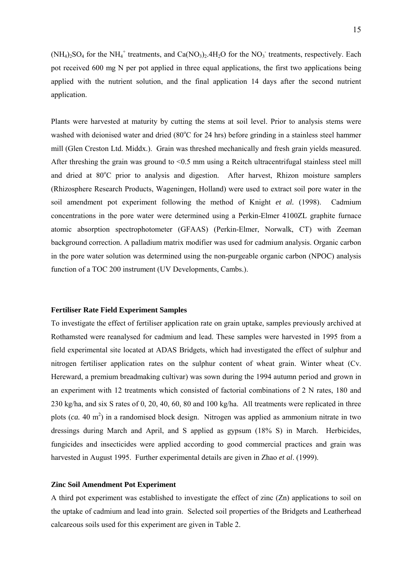<span id="page-14-0"></span> $(NH<sub>4</sub>)<sub>2</sub>SO<sub>4</sub>$  for the NH<sub>4</sub><sup>+</sup> treatments, and Ca(NO<sub>3</sub>)<sub>2</sub>.4H<sub>2</sub>O for the NO<sub>3</sub><sup>+</sup> treatments, respectively. Each pot received 600 mg N per pot applied in three equal applications, the first two applications being applied with the nutrient solution, and the final application 14 days after the second nutrient application.

Plants were harvested at maturity by cutting the stems at soil level. Prior to analysis stems were washed with deionised water and dried (80°C for 24 hrs) before grinding in a stainless steel hammer mill (Glen Creston Ltd. Middx.). Grain was threshed mechanically and fresh grain yields measured. After threshing the grain was ground to  $\leq 0.5$  mm using a Reitch ultracentrifugal stainless steel mill and dried at 80°C prior to analysis and digestion. After harvest, Rhizon moisture samplers (Rhizosphere Research Products, Wageningen, Holland) were used to extract soil pore water in the soil amendment pot experiment following the method of Knight *et al.* (1998). Cadmium concentrations in the pore water were determined using a Perkin-Elmer 4100ZL graphite furnace atomic absorption spectrophotometer (GFAAS) (Perkin-Elmer, Norwalk, CT) with Zeeman background correction. A palladium matrix modifier was used for cadmium analysis. Organic carbon in the pore water solution was determined using the non-purgeable organic carbon (NPOC) analysis function of a TOC 200 instrument (UV Developments, Cambs.).

### **Fertiliser Rate Field Experiment Samples**

To investigate the effect of fertiliser application rate on grain uptake, samples previously archived at Rothamsted were reanalysed for cadmium and lead. These samples were harvested in 1995 from a field experimental site located at ADAS Bridgets, which had investigated the effect of sulphur and nitrogen fertiliser application rates on the sulphur content of wheat grain. Winter wheat (Cv. Hereward, a premium breadmaking cultivar) was sown during the 1994 autumn period and grown in an experiment with 12 treatments which consisted of factorial combinations of 2 N rates, 180 and 230 kg/ha, and six S rates of 0, 20, 40, 60, 80 and 100 kg/ha. All treatments were replicated in three plots (*ca.* 40 m<sup>2</sup>) in a randomised block design. Nitrogen was applied as ammonium nitrate in two dressings during March and April, and S applied as gypsum (18% S) in March. Herbicides, fungicides and insecticides were applied according to good commercial practices and grain was harvested in August 1995. Further experimental details are given in Zhao *et al*. (1999).

### **Zinc Soil Amendment Pot Experiment**

A third pot experiment was established to investigate the effect of zinc (Zn) applications to soil on the uptake of cadmium and lead into grain. Selected soil properties of the Bridgets and Leatherhead calcareous soils used for this experiment are given in Table 2.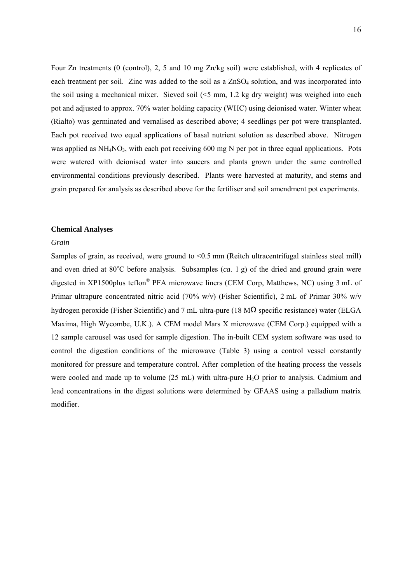<span id="page-15-0"></span>Four Zn treatments (0 (control), 2, 5 and 10 mg Zn/kg soil) were established, with 4 replicates of each treatment per soil. Zinc was added to the soil as a  $ZnSO<sub>4</sub>$  solution, and was incorporated into the soil using a mechanical mixer. Sieved soil  $(5 \text{ mm}, 1.2 \text{ kg dry weight})$  was weighed into each pot and adjusted to approx. 70% water holding capacity (WHC) using deionised water. Winter wheat (Rialto) was germinated and vernalised as described above; 4 seedlings per pot were transplanted. Each pot received two equal applications of basal nutrient solution as described above. Nitrogen was applied as  $NH<sub>4</sub>NO<sub>3</sub>$ , with each pot receiving 600 mg N per pot in three equal applications. Pots were watered with deionised water into saucers and plants grown under the same controlled environmental conditions previously described. Plants were harvested at maturity, and stems and grain prepared for analysis as described above for the fertiliser and soil amendment pot experiments.

### **Chemical Analyses**

### *Grain*

Samples of grain, as received, were ground to <0.5 mm (Reitch ultracentrifugal stainless steel mill) and oven dried at 80°C before analysis. Subsamples (*ca.* 1 g) of the dried and ground grain were digested in XP1500plus teflon® PFA microwave liners (CEM Corp, Matthews, NC) using 3 mL of Primar ultrapure concentrated nitric acid (70% w/v) (Fisher Scientific), 2 mL of Primar 30% w/v hydrogen peroxide (Fisher Scientific) and 7 mL ultra-pure (18 MΩ specific resistance) water (ELGA Maxima, High Wycombe, U.K.). A CEM model Mars X microwave (CEM Corp.) equipped with a 12 sample carousel was used for sample digestion. The in-built CEM system software was used to control the digestion conditions of the microwave (Table 3) using a control vessel constantly monitored for pressure and temperature control. After completion of the heating process the vessels were cooled and made up to volume  $(25 \text{ mL})$  with ultra-pure H<sub>2</sub>O prior to analysis. Cadmium and lead concentrations in the digest solutions were determined by GFAAS using a palladium matrix modifier.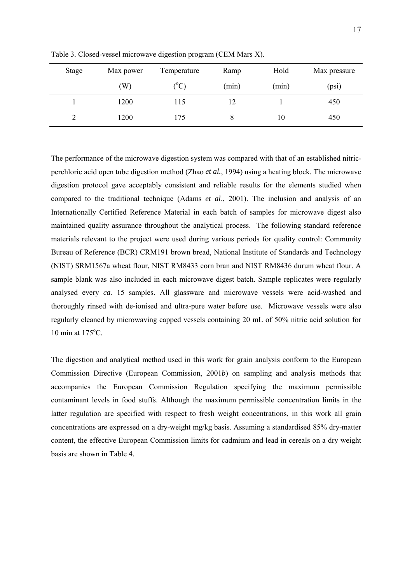| Stage | Max power | Temperature   | Ramp  | Hold  | Max pressure |
|-------|-----------|---------------|-------|-------|--------------|
|       | (W)       | $(^{\circ}C)$ | (min) | (min) | (psi)        |
|       | 1200      | 115           | 12    |       | 450          |
|       | 1200      | 175           | 8     | 10    | 450          |

Table 3. Closed-vessel microwave digestion program (CEM Mars X).

The performance of the microwave digestion system was compared with that of an established nitricperchloric acid open tube digestion method (Zhao *et al.*, 1994) using a heating block. The microwave digestion protocol gave acceptably consistent and reliable results for the elements studied when compared to the traditional technique (Adams *et al*., 2001). The inclusion and analysis of an Internationally Certified Reference Material in each batch of samples for microwave digest also maintained quality assurance throughout the analytical process. The following standard reference materials relevant to the project were used during various periods for quality control: Community Bureau of Reference (BCR) CRM191 brown bread, National Institute of Standards and Technology (NIST) SRM1567a wheat flour, NIST RM8433 corn bran and NIST RM8436 durum wheat flour. A sample blank was also included in each microwave digest batch. Sample replicates were regularly analysed every *ca.* 15 samples. All glassware and microwave vessels were acid-washed and thoroughly rinsed with de-ionised and ultra-pure water before use. Microwave vessels were also regularly cleaned by microwaving capped vessels containing 20 mL of 50% nitric acid solution for 10 min at  $175^{\circ}$ C.

The digestion and analytical method used in this work for grain analysis conform to the European Commission Directive (European Commission, 2001*b*) on sampling and analysis methods that accompanies the European Commission Regulation specifying the maximum permissible contaminant levels in food stuffs. Although the maximum permissible concentration limits in the latter regulation are specified with respect to fresh weight concentrations, in this work all grain concentrations are expressed on a dry-weight mg/kg basis. Assuming a standardised 85% dry-matter content, the effective European Commission limits for cadmium and lead in cereals on a dry weight basis are shown in Table 4.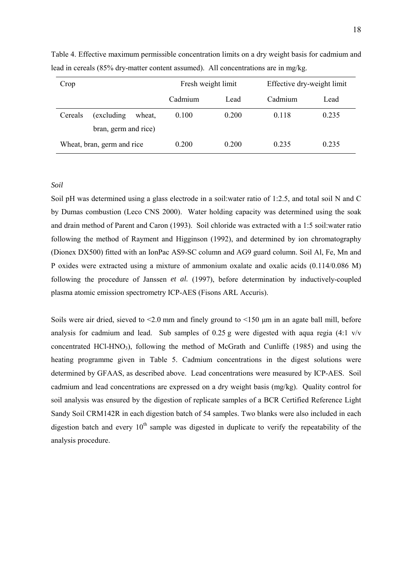| Crop    |                            |        | Fresh weight limit |       | Effective dry-weight limit |       |
|---------|----------------------------|--------|--------------------|-------|----------------------------|-------|
|         |                            |        | Cadmium            | Lead  | Cadmium                    | Lead  |
| Cereals | (excluding)                | wheat, | 0.100              | 0.200 | 0.118                      | 0.235 |
|         | bran, germ and rice)       |        |                    |       |                            |       |
|         | Wheat, bran, germ and rice |        | 0.200              | 0.200 | 0.235                      | 0.235 |

<span id="page-17-0"></span>Table 4. Effective maximum permissible concentration limits on a dry weight basis for cadmium and lead in cereals (85% dry-matter content assumed). All concentrations are in mg/kg.

### *Soil*

Soil pH was determined using a glass electrode in a soil:water ratio of 1:2.5, and total soil N and C by Dumas combustion (Leco CNS 2000). Water holding capacity was determined using the soak and drain method of Parent and Caron (1993). Soil chloride was extracted with a 1:5 soil:water ratio following the method of Rayment and Higginson (1992), and determined by ion chromatography (Dionex DX500) fitted with an IonPac AS9-SC column and AG9 guard column. Soil Al, Fe, Mn and P oxides were extracted using a mixture of ammonium oxalate and oxalic acids (0.114/0.086 M) following the procedure of Janssen *et al.* (1997), before determination by inductively-coupled plasma atomic emission spectrometry ICP-AES (Fisons ARL Accuris).

Soils were air dried, sieved to  $\leq 2.0$  mm and finely ground to  $\leq 150$  µm in an agate ball mill, before analysis for cadmium and lead. Sub samples of 0.25 g were digested with aqua regia (4:1 v/v concentrated HCl-HNO<sub>3</sub>), following the method of McGrath and Cunliffe (1985) and using the heating programme given in Table 5. Cadmium concentrations in the digest solutions were determined by GFAAS, as described above. Lead concentrations were measured by ICP-AES. Soil cadmium and lead concentrations are expressed on a dry weight basis (mg/kg). Quality control for soil analysis was ensured by the digestion of replicate samples of a BCR Certified Reference Light Sandy Soil CRM142R in each digestion batch of 54 samples. Two blanks were also included in each digestion batch and every  $10<sup>th</sup>$  sample was digested in duplicate to verify the repeatability of the analysis procedure.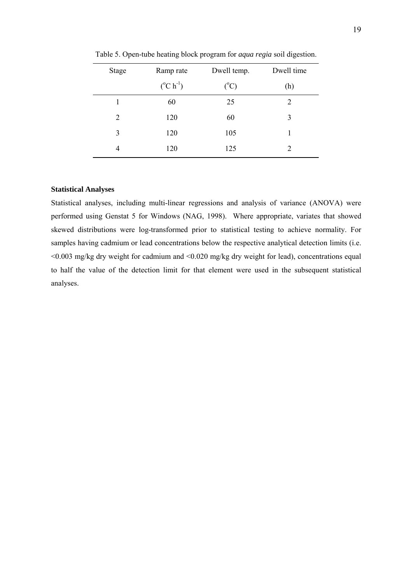| <b>Stage</b> | Ramp rate                 | Dwell temp.     | Dwell time |
|--------------|---------------------------|-----------------|------------|
|              | $({}^{\circ}C \; h^{-1})$ | $({}^{\circ}C)$ | (h)        |
| 1            | 60                        | 25              | 2          |
| 2            | 120                       | 60              | 3          |
| 3            | 120                       | 105             |            |
| 4            | 120                       | 125             |            |

<span id="page-18-0"></span>Table 5. Open-tube heating block program for *aqua regia* soil digestion.

### **Statistical Analyses**

Statistical analyses, including multi-linear regressions and analysis of variance (ANOVA) were performed using Genstat 5 for Windows (NAG, 1998). Where appropriate, variates that showed skewed distributions were log-transformed prior to statistical testing to achieve normality. For samples having cadmium or lead concentrations below the respective analytical detection limits (i.e. <0.003 mg/kg dry weight for cadmium and <0.020 mg/kg dry weight for lead), concentrations equal to half the value of the detection limit for that element were used in the subsequent statistical analyses.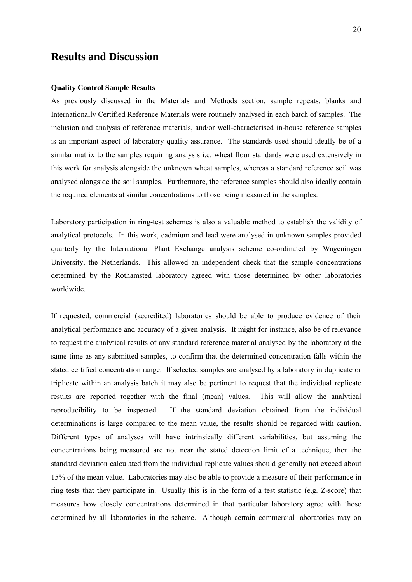### <span id="page-19-0"></span>**Results and Discussion**

### **Quality Control Sample Results**

As previously discussed in the Materials and Methods section, sample repeats, blanks and Internationally Certified Reference Materials were routinely analysed in each batch of samples. The inclusion and analysis of reference materials, and/or well-characterised in-house reference samples is an important aspect of laboratory quality assurance. The standards used should ideally be of a similar matrix to the samples requiring analysis i.e. wheat flour standards were used extensively in this work for analysis alongside the unknown wheat samples, whereas a standard reference soil was analysed alongside the soil samples. Furthermore, the reference samples should also ideally contain the required elements at similar concentrations to those being measured in the samples.

Laboratory participation in ring-test schemes is also a valuable method to establish the validity of analytical protocols. In this work, cadmium and lead were analysed in unknown samples provided quarterly by the International Plant Exchange analysis scheme co-ordinated by Wageningen University, the Netherlands. This allowed an independent check that the sample concentrations determined by the Rothamsted laboratory agreed with those determined by other laboratories worldwide.

If requested, commercial (accredited) laboratories should be able to produce evidence of their analytical performance and accuracy of a given analysis. It might for instance, also be of relevance to request the analytical results of any standard reference material analysed by the laboratory at the same time as any submitted samples, to confirm that the determined concentration falls within the stated certified concentration range. If selected samples are analysed by a laboratory in duplicate or triplicate within an analysis batch it may also be pertinent to request that the individual replicate results are reported together with the final (mean) values. This will allow the analytical reproducibility to be inspected. If the standard deviation obtained from the individual determinations is large compared to the mean value, the results should be regarded with caution. Different types of analyses will have intrinsically different variabilities, but assuming the concentrations being measured are not near the stated detection limit of a technique, then the standard deviation calculated from the individual replicate values should generally not exceed about 15% of the mean value. Laboratories may also be able to provide a measure of their performance in ring tests that they participate in. Usually this is in the form of a test statistic (e.g. Z-score) that measures how closely concentrations determined in that particular laboratory agree with those determined by all laboratories in the scheme. Although certain commercial laboratories may on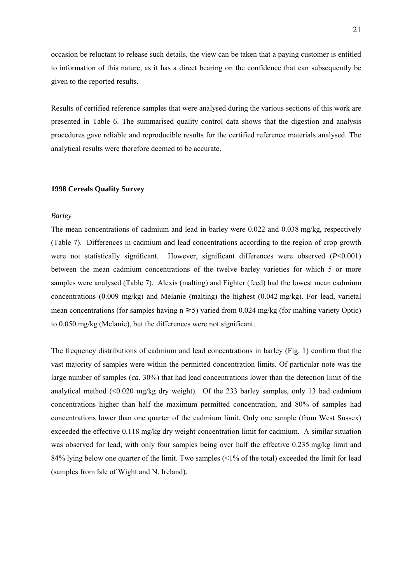<span id="page-20-0"></span>occasion be reluctant to release such details, the view can be taken that a paying customer is entitled to information of this nature, as it has a direct bearing on the confidence that can subsequently be given to the reported results.

Results of certified reference samples that were analysed during the various sections of this work are presented in Table 6. The summarised quality control data shows that the digestion and analysis procedures gave reliable and reproducible results for the certified reference materials analysed. The analytical results were therefore deemed to be accurate.

### **1998 Cereals Quality Survey**

### *Barley*

The mean concentrations of cadmium and lead in barley were 0.022 and 0.038 mg/kg, respectively (Table 7). Differences in cadmium and lead concentrations according to the region of crop growth were not statistically significant. However, significant differences were observed (*P*<0.001) between the mean cadmium concentrations of the twelve barley varieties for which 5 or more samples were analysed (Table 7). Alexis (malting) and Fighter (feed) had the lowest mean cadmium concentrations (0.009 mg/kg) and Melanie (malting) the highest (0.042 mg/kg). For lead, varietal mean concentrations (for samples having  $n \ge 5$ ) varied from 0.024 mg/kg (for malting variety Optic) to 0.050 mg/kg (Melanie), but the differences were not significant.

The frequency distributions of cadmium and lead concentrations in barley (Fig. 1) confirm that the vast majority of samples were within the permitted concentration limits. Of particular note was the large number of samples (*ca*. 30%) that had lead concentrations lower than the detection limit of the analytical method  $\ll 0.020$  mg/kg dry weight). Of the 233 barley samples, only 13 had cadmium concentrations higher than half the maximum permitted concentration, and 80% of samples had concentrations lower than one quarter of the cadmium limit. Only one sample (from West Sussex) exceeded the effective 0.118 mg/kg dry weight concentration limit for cadmium. A similar situation was observed for lead, with only four samples being over half the effective 0.235 mg/kg limit and 84% lying below one quarter of the limit. Two samples  $\langle 1\%$  of the total) exceeded the limit for lead (samples from Isle of Wight and N. Ireland).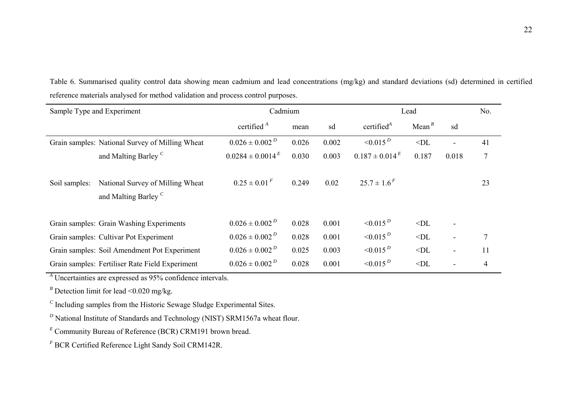| Sample Type and Experiment |                                                                     | Cadmium                 | Lead  |       |                       | No.      |                          |        |
|----------------------------|---------------------------------------------------------------------|-------------------------|-------|-------|-----------------------|----------|--------------------------|--------|
|                            |                                                                     | certified $A$           | mean  | sd    | certified $A$         | Mean $B$ | sd                       |        |
|                            | Grain samples: National Survey of Milling Wheat                     | $0.026 \pm 0.002^D$     | 0.026 | 0.002 | $< 0.015^D$           | $<$ DL   | $\blacksquare$           | 41     |
|                            | and Malting Barley <sup>C</sup>                                     | $0.0284 \pm 0.0014^{E}$ | 0.030 | 0.003 | $0.187 \pm 0.014^{E}$ | 0.187    | 0.018                    | $\tau$ |
| Soil samples:              | National Survey of Milling Wheat<br>and Malting Barley <sup>C</sup> | $0.25 \pm 0.01^F$       | 0.249 | 0.02  | $25.7 \pm 1.6^F$      |          |                          | 23     |
|                            | Grain samples: Grain Washing Experiments                            | $0.026 \pm 0.002^D$     | 0.028 | 0.001 | $\leq 0.015^{D}$      | $<$ DL   | $\overline{\phantom{a}}$ |        |
|                            | Grain samples: Cultivar Pot Experiment                              | $0.026 \pm 0.002^D$     | 0.028 | 0.001 | $< 0.015^D$           | $<$ DL   | $\blacksquare$           | $\tau$ |
|                            | Grain samples: Soil Amendment Pot Experiment                        | $0.026 \pm 0.002^D$     | 0.025 | 0.003 | $< 0.015^D$           | $<$ DL   | $\blacksquare$           | 11     |
|                            | Grain samples: Fertiliser Rate Field Experiment                     | $0.026 \pm 0.002^D$     | 0.028 | 0.001 | $< 0.015^D$           | $<$ DL   |                          | 4      |

Table 6. Summarised quality control data showing mean cadmium and lead concentrations (mg/kg) and standard deviations (sd) determined in certified reference materials analysed for method validation and process control purposes.

*<sup>A</sup>* Uncertainties are expressed as 95% confidence intervals.

 $B$  Detection limit for lead <0.020 mg/kg.

*<sup>C</sup>* Including samples from the Historic Sewage Sludge Experimental Sites.

*D* National Institute of Standards and Technology (NIST) SRM1567a wheat flour.

*<sup>E</sup>* Community Bureau of Reference (BCR) CRM191 brown bread.

*<sup>F</sup>* BCR Certified Reference Light Sandy Soil CRM142R.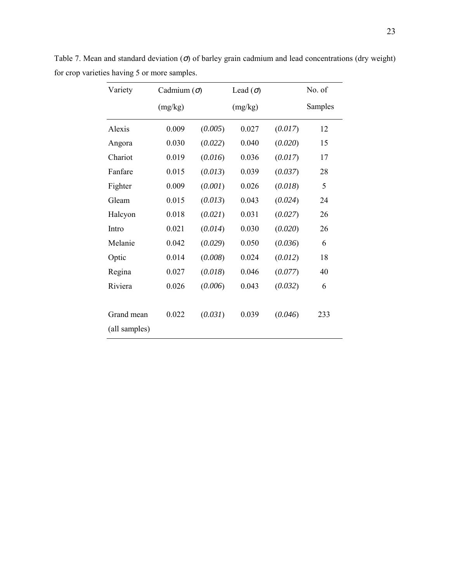| Variety       | Cadmium $(\sigma)$ |         | Lead $(\sigma)$ |         | No. of  |
|---------------|--------------------|---------|-----------------|---------|---------|
|               | (mg/kg)            |         | (mg/kg)         |         | Samples |
| Alexis        | 0.009              | (0.005) | 0.027           | (0.017) | 12      |
| Angora        | 0.030              | (0.022) | 0.040           | (0.020) | 15      |
| Chariot       | 0.019              | (0.016) | 0.036           | (0.017) | 17      |
| Fanfare       | 0.015              | (0.013) | 0.039           | (0.037) | 28      |
| Fighter       | 0.009              | (0.001) | 0.026           | (0.018) | 5       |
| Gleam         | 0.015              | (0.013) | 0.043           | (0.024) | 24      |
| Halcyon       | 0.018              | (0.021) | 0.031           | (0.027) | 26      |
| Intro         | 0.021              | (0.014) | 0.030           | (0.020) | 26      |
| Melanie       | 0.042              | (0.029) | 0.050           | (0.036) | 6       |
| Optic         | 0.014              | (0.008) | 0.024           | (0.012) | 18      |
| Regina        | 0.027              | (0.018) | 0.046           | (0.077) | 40      |
| Riviera       | 0.026              | (0.006) | 0.043           | (0.032) | 6       |
|               |                    |         |                 |         |         |
| Grand mean    | 0.022              | (0.031) | 0.039           | (0.046) | 233     |
| (all samples) |                    |         |                 |         |         |

Table 7. Mean and standard deviation  $(\sigma)$  of barley grain cadmium and lead concentrations (dry weight) for crop varieties having 5 or more samples.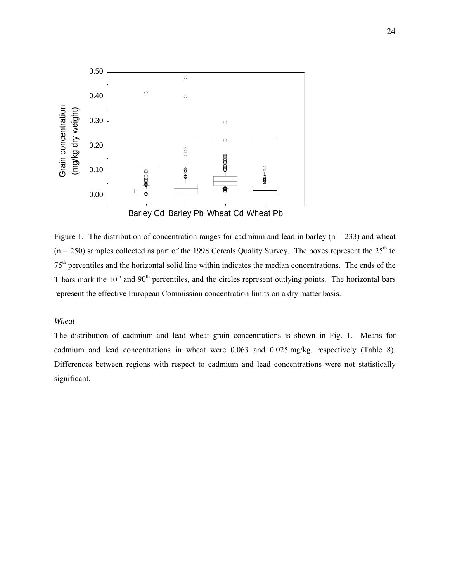<span id="page-23-0"></span>

Figure 1. The distribution of concentration ranges for cadmium and lead in barley ( $n = 233$ ) and wheat  $(n = 250)$  samples collected as part of the 1998 Cereals Quality Survey. The boxes represent the  $25<sup>th</sup>$  to 75th percentiles and the horizontal solid line within indicates the median concentrations. The ends of the T bars mark the  $10<sup>th</sup>$  and  $90<sup>th</sup>$  percentiles, and the circles represent outlying points. The horizontal bars represent the effective European Commission concentration limits on a dry matter basis.

### *Wheat*

The distribution of cadmium and lead wheat grain concentrations is shown in Fig. 1. Means for cadmium and lead concentrations in wheat were 0.063 and 0.025 mg/kg, respectively (Table 8). Differences between regions with respect to cadmium and lead concentrations were not statistically significant.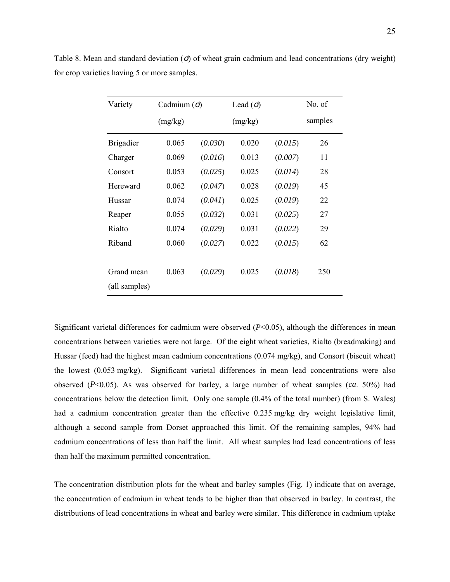| Variety                     | Cadmium $(\sigma)$ |         | Lead $(\sigma)$ | No. of  |         |
|-----------------------------|--------------------|---------|-----------------|---------|---------|
|                             | (mg/kg)            |         | (mg/kg)         |         | samples |
| <b>Brigadier</b>            | 0.065              | (0.030) | 0.020           | (0.015) | 26      |
| Charger                     | 0.069              | (0.016) | 0.013           | (0.007) | 11      |
| Consort                     | 0.053              | (0.025) | 0.025           | (0.014) | 28      |
| Hereward                    | 0.062              | (0.047) | 0.028           | (0.019) | 45      |
| Hussar                      | 0.074              | (0.041) | 0.025           | (0.019) | 22      |
| Reaper                      | 0.055              | (0.032) | 0.031           | (0.025) | 27      |
| Rialto                      | 0.074              | (0.029) | 0.031           | (0.022) | 29      |
| Riband                      | 0.060              | (0.027) | 0.022           | (0.015) | 62      |
| Grand mean<br>(all samples) | 0.063              | (0.029) | 0.025           | (0.018) | 250     |

Table 8. Mean and standard deviation  $\sigma$  of wheat grain cadmium and lead concentrations (dry weight) for crop varieties having 5 or more samples.

Significant varietal differences for cadmium were observed (*P*<0.05), although the differences in mean concentrations between varieties were not large. Of the eight wheat varieties, Rialto (breadmaking) and Hussar (feed) had the highest mean cadmium concentrations (0.074 mg/kg), and Consort (biscuit wheat) the lowest (0.053 mg/kg). Significant varietal differences in mean lead concentrations were also observed (*P*<0.05). As was observed for barley, a large number of wheat samples (*ca*. 50%) had concentrations below the detection limit. Only one sample (0.4% of the total number) (from S. Wales) had a cadmium concentration greater than the effective 0.235 mg/kg dry weight legislative limit, although a second sample from Dorset approached this limit. Of the remaining samples, 94% had cadmium concentrations of less than half the limit. All wheat samples had lead concentrations of less than half the maximum permitted concentration.

The concentration distribution plots for the wheat and barley samples (Fig. 1) indicate that on average, the concentration of cadmium in wheat tends to be higher than that observed in barley. In contrast, the distributions of lead concentrations in wheat and barley were similar. This difference in cadmium uptake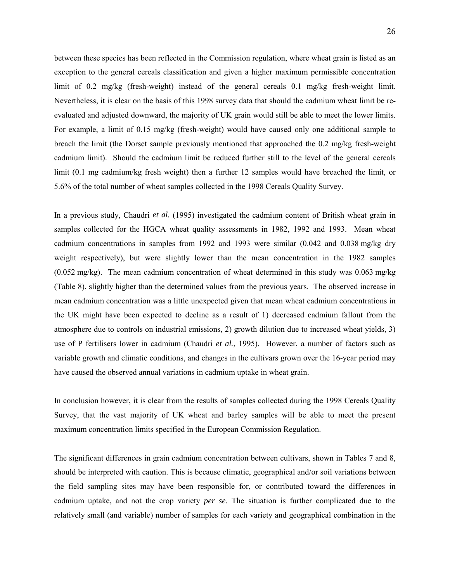between these species has been reflected in the Commission regulation, where wheat grain is listed as an exception to the general cereals classification and given a higher maximum permissible concentration limit of 0.2 mg/kg (fresh-weight) instead of the general cereals 0.1 mg/kg fresh-weight limit. Nevertheless, it is clear on the basis of this 1998 survey data that should the cadmium wheat limit be reevaluated and adjusted downward, the majority of UK grain would still be able to meet the lower limits. For example, a limit of 0.15 mg/kg (fresh-weight) would have caused only one additional sample to breach the limit (the Dorset sample previously mentioned that approached the 0.2 mg/kg fresh-weight cadmium limit). Should the cadmium limit be reduced further still to the level of the general cereals limit (0.1 mg cadmium/kg fresh weight) then a further 12 samples would have breached the limit, or 5.6% of the total number of wheat samples collected in the 1998 Cereals Quality Survey.

In a previous study, Chaudri *et al.* (1995) investigated the cadmium content of British wheat grain in samples collected for the HGCA wheat quality assessments in 1982, 1992 and 1993. Mean wheat cadmium concentrations in samples from 1992 and 1993 were similar (0.042 and 0.038 mg/kg dry weight respectively), but were slightly lower than the mean concentration in the 1982 samples (0.052 mg/kg). The mean cadmium concentration of wheat determined in this study was 0.063 mg/kg (Table 8), slightly higher than the determined values from the previous years. The observed increase in mean cadmium concentration was a little unexpected given that mean wheat cadmium concentrations in the UK might have been expected to decline as a result of 1) decreased cadmium fallout from the atmosphere due to controls on industrial emissions, 2) growth dilution due to increased wheat yields, 3) use of P fertilisers lower in cadmium (Chaudri *et al.*, 1995). However, a number of factors such as variable growth and climatic conditions, and changes in the cultivars grown over the 16-year period may have caused the observed annual variations in cadmium uptake in wheat grain.

In conclusion however, it is clear from the results of samples collected during the 1998 Cereals Quality Survey, that the vast majority of UK wheat and barley samples will be able to meet the present maximum concentration limits specified in the European Commission Regulation.

The significant differences in grain cadmium concentration between cultivars, shown in Tables 7 and 8, should be interpreted with caution. This is because climatic, geographical and/or soil variations between the field sampling sites may have been responsible for, or contributed toward the differences in cadmium uptake, and not the crop variety *per se*. The situation is further complicated due to the relatively small (and variable) number of samples for each variety and geographical combination in the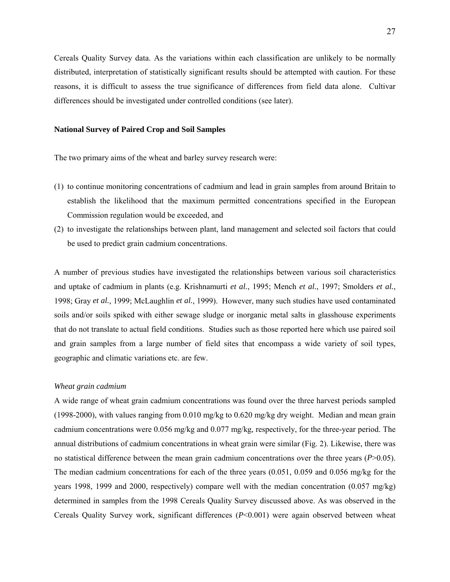<span id="page-26-0"></span>Cereals Quality Survey data. As the variations within each classification are unlikely to be normally distributed, interpretation of statistically significant results should be attempted with caution. For these reasons, it is difficult to assess the true significance of differences from field data alone. Cultivar differences should be investigated under controlled conditions (see later).

### **National Survey of Paired Crop and Soil Samples**

The two primary aims of the wheat and barley survey research were:

- (1) to continue monitoring concentrations of cadmium and lead in grain samples from around Britain to establish the likelihood that the maximum permitted concentrations specified in the European Commission regulation would be exceeded, and
- (2) to investigate the relationships between plant, land management and selected soil factors that could be used to predict grain cadmium concentrations.

A number of previous studies have investigated the relationships between various soil characteristics and uptake of cadmium in plants (e.g. Krishnamurti *et al.*, 1995; Mench *et al.*, 1997; Smolders *et al.*, 1998; Gray *et al.*, 1999; McLaughlin *et al.*, 1999). However, many such studies have used contaminated soils and/or soils spiked with either sewage sludge or inorganic metal salts in glasshouse experiments that do not translate to actual field conditions. Studies such as those reported here which use paired soil and grain samples from a large number of field sites that encompass a wide variety of soil types, geographic and climatic variations etc. are few.

#### *Wheat grain cadmium*

A wide range of wheat grain cadmium concentrations was found over the three harvest periods sampled (1998-2000), with values ranging from 0.010 mg/kg to 0.620 mg/kg dry weight. Median and mean grain cadmium concentrations were 0.056 mg/kg and 0.077 mg/kg, respectively, for the three-year period. The annual distributions of cadmium concentrations in wheat grain were similar (Fig. 2). Likewise, there was no statistical difference between the mean grain cadmium concentrations over the three years (*P*>0.05). The median cadmium concentrations for each of the three years (0.051, 0.059 and 0.056 mg/kg for the years 1998, 1999 and 2000, respectively) compare well with the median concentration (0.057 mg/kg) determined in samples from the 1998 Cereals Quality Survey discussed above. As was observed in the Cereals Quality Survey work, significant differences (*P*<0.001) were again observed between wheat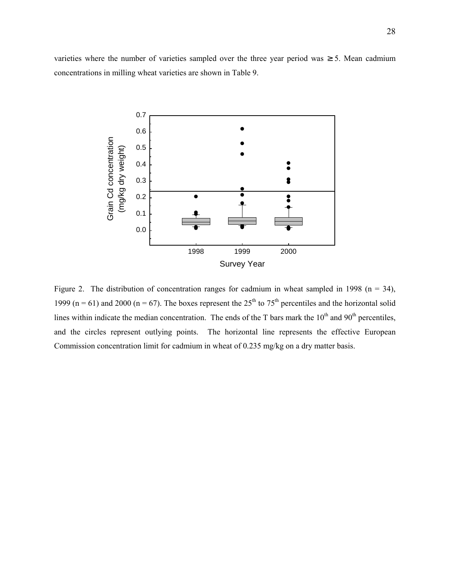varieties where the number of varieties sampled over the three year period was  $\geq$  5. Mean cadmium concentrations in milling wheat varieties are shown in Table 9.



Figure 2. The distribution of concentration ranges for cadmium in wheat sampled in 1998 ( $n = 34$ ), 1999 (n = 61) and 2000 (n = 67). The boxes represent the  $25<sup>th</sup>$  to  $75<sup>th</sup>$  percentiles and the horizontal solid lines within indicate the median concentration. The ends of the T bars mark the  $10<sup>th</sup>$  and  $90<sup>th</sup>$  percentiles, and the circles represent outlying points. The horizontal line represents the effective European Commission concentration limit for cadmium in wheat of 0.235 mg/kg on a dry matter basis.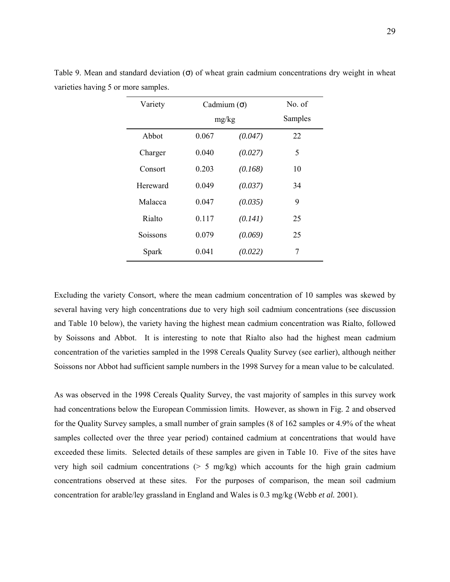| Variety  |       | Cadmium $(\sigma)$ |         |
|----------|-------|--------------------|---------|
|          | mg/kg |                    | Samples |
| Abbot    | 0.067 | (0.047)            | 22      |
| Charger  | 0.040 | (0.027)            | 5       |
| Consort  | 0.203 | (0.168)            | 10      |
| Hereward | 0.049 | (0.037)            | 34      |
| Malacca  | 0.047 | (0.035)            | 9       |
| Rialto   | 0.117 | (0.141)            | 25      |
| Soissons | 0.079 | (0.069)            | 25      |
| Spark    | 0.041 | (0.022)            | 7       |

Table 9. Mean and standard deviation  $(σ)$  of wheat grain cadmium concentrations dry weight in wheat varieties having 5 or more samples.

Excluding the variety Consort, where the mean cadmium concentration of 10 samples was skewed by several having very high concentrations due to very high soil cadmium concentrations (see discussion and Table 10 below), the variety having the highest mean cadmium concentration was Rialto, followed by Soissons and Abbot. It is interesting to note that Rialto also had the highest mean cadmium concentration of the varieties sampled in the 1998 Cereals Quality Survey (see earlier), although neither Soissons nor Abbot had sufficient sample numbers in the 1998 Survey for a mean value to be calculated.

As was observed in the 1998 Cereals Quality Survey, the vast majority of samples in this survey work had concentrations below the European Commission limits. However, as shown in Fig. 2 and observed for the Quality Survey samples, a small number of grain samples (8 of 162 samples or 4.9% of the wheat samples collected over the three year period) contained cadmium at concentrations that would have exceeded these limits. Selected details of these samples are given in Table 10. Five of the sites have very high soil cadmium concentrations  $(5 \, \text{mg/kg})$  which accounts for the high grain cadmium concentrations observed at these sites. For the purposes of comparison, the mean soil cadmium concentration for arable/ley grassland in England and Wales is 0.3 mg/kg (Webb *et al.* 2001).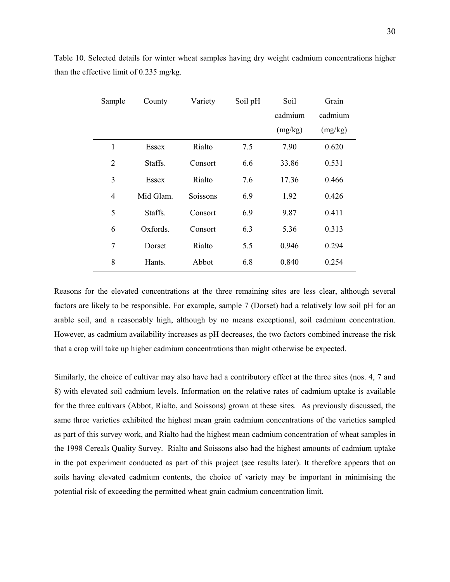| Sample         | County    | Variety  | Soil pH | Soil    | Grain   |
|----------------|-----------|----------|---------|---------|---------|
|                |           |          |         | cadmium | cadmium |
|                |           |          |         | (mg/kg) | (mg/kg) |
| 1              | Essex     | Rialto   | 7.5     | 7.90    | 0.620   |
| $\overline{2}$ | Staffs.   | Consort  | 6.6     | 33.86   | 0.531   |
| 3              | Essex     | Rialto   | 7.6     | 17.36   | 0.466   |
| $\overline{4}$ | Mid Glam. | Soissons | 6.9     | 1.92    | 0.426   |
| 5              | Staffs.   | Consort  | 6.9     | 9.87    | 0.411   |
| 6              | Oxfords.  | Consort  | 6.3     | 5.36    | 0.313   |
| $\overline{7}$ | Dorset    | Rialto   | 5.5     | 0.946   | 0.294   |
| 8              | Hants.    | Abbot    | 6.8     | 0.840   | 0.254   |

Table 10. Selected details for winter wheat samples having dry weight cadmium concentrations higher than the effective limit of 0.235 mg/kg.

Reasons for the elevated concentrations at the three remaining sites are less clear, although several factors are likely to be responsible. For example, sample 7 (Dorset) had a relatively low soil pH for an arable soil, and a reasonably high, although by no means exceptional, soil cadmium concentration. However, as cadmium availability increases as pH decreases, the two factors combined increase the risk that a crop will take up higher cadmium concentrations than might otherwise be expected.

Similarly, the choice of cultivar may also have had a contributory effect at the three sites (nos. 4, 7 and 8) with elevated soil cadmium levels. Information on the relative rates of cadmium uptake is available for the three cultivars (Abbot, Rialto, and Soissons) grown at these sites. As previously discussed, the same three varieties exhibited the highest mean grain cadmium concentrations of the varieties sampled as part of this survey work, and Rialto had the highest mean cadmium concentration of wheat samples in the 1998 Cereals Quality Survey. Rialto and Soissons also had the highest amounts of cadmium uptake in the pot experiment conducted as part of this project (see results later). It therefore appears that on soils having elevated cadmium contents, the choice of variety may be important in minimising the potential risk of exceeding the permitted wheat grain cadmium concentration limit.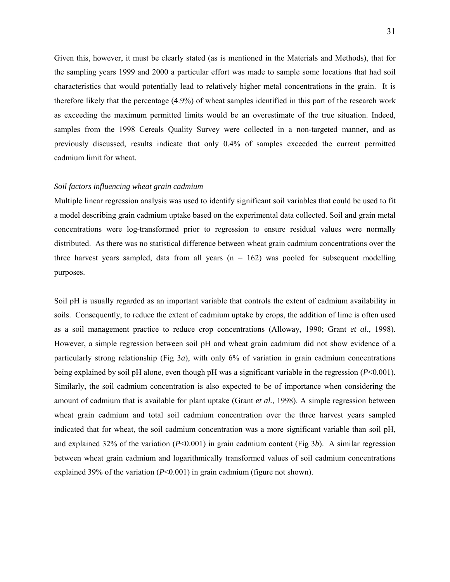<span id="page-30-0"></span>Given this, however, it must be clearly stated (as is mentioned in the Materials and Methods), that for the sampling years 1999 and 2000 a particular effort was made to sample some locations that had soil characteristics that would potentially lead to relatively higher metal concentrations in the grain. It is therefore likely that the percentage (4.9%) of wheat samples identified in this part of the research work as exceeding the maximum permitted limits would be an overestimate of the true situation. Indeed, samples from the 1998 Cereals Quality Survey were collected in a non-targeted manner, and as previously discussed, results indicate that only 0.4% of samples exceeded the current permitted cadmium limit for wheat.

### *Soil factors influencing wheat grain cadmium*

Multiple linear regression analysis was used to identify significant soil variables that could be used to fit a model describing grain cadmium uptake based on the experimental data collected. Soil and grain metal concentrations were log-transformed prior to regression to ensure residual values were normally distributed. As there was no statistical difference between wheat grain cadmium concentrations over the three harvest years sampled, data from all years  $(n = 162)$  was pooled for subsequent modelling purposes.

Soil pH is usually regarded as an important variable that controls the extent of cadmium availability in soils. Consequently, to reduce the extent of cadmium uptake by crops, the addition of lime is often used as a soil management practice to reduce crop concentrations (Alloway, 1990; Grant *et al.*, 1998). However, a simple regression between soil pH and wheat grain cadmium did not show evidence of a particularly strong relationship (Fig 3*a*), with only 6% of variation in grain cadmium concentrations being explained by soil pH alone, even though pH was a significant variable in the regression (*P*<0.001). Similarly, the soil cadmium concentration is also expected to be of importance when considering the amount of cadmium that is available for plant uptake (Grant *et al.*, 1998). A simple regression between wheat grain cadmium and total soil cadmium concentration over the three harvest years sampled indicated that for wheat, the soil cadmium concentration was a more significant variable than soil pH, and explained 32% of the variation (*P*<0.001) in grain cadmium content (Fig 3*b*). A similar regression between wheat grain cadmium and logarithmically transformed values of soil cadmium concentrations explained 39% of the variation (*P*<0.001) in grain cadmium (figure not shown).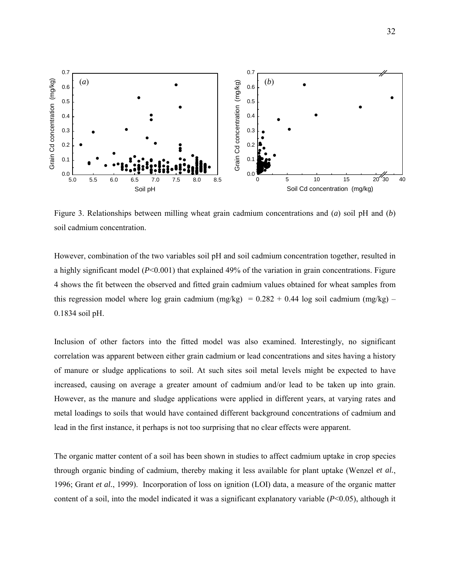

Figure 3. Relationships between milling wheat grain cadmium concentrations and (*a*) soil pH and (*b*) soil cadmium concentration.

However, combination of the two variables soil pH and soil cadmium concentration together, resulted in a highly significant model (*P*<0.001) that explained 49% of the variation in grain concentrations. Figure 4 shows the fit between the observed and fitted grain cadmium values obtained for wheat samples from this regression model where log grain cadmium  $(mg/kg) = 0.282 + 0.44$  log soil cadmium  $(mg/kg)$  – 0.1834 soil pH.

Inclusion of other factors into the fitted model was also examined. Interestingly, no significant correlation was apparent between either grain cadmium or lead concentrations and sites having a history of manure or sludge applications to soil. At such sites soil metal levels might be expected to have increased, causing on average a greater amount of cadmium and/or lead to be taken up into grain. However, as the manure and sludge applications were applied in different years, at varying rates and metal loadings to soils that would have contained different background concentrations of cadmium and lead in the first instance, it perhaps is not too surprising that no clear effects were apparent.

The organic matter content of a soil has been shown in studies to affect cadmium uptake in crop species through organic binding of cadmium, thereby making it less available for plant uptake (Wenzel *et al.*, 1996; Grant *et al.*, 1999). Incorporation of loss on ignition (LOI) data, a measure of the organic matter content of a soil, into the model indicated it was a significant explanatory variable (*P*<0.05), although it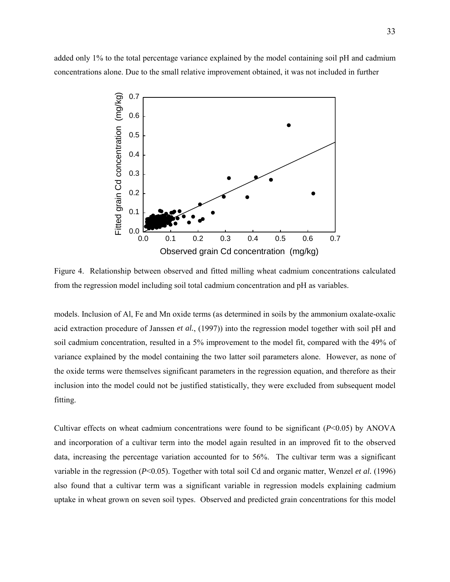added only 1% to the total percentage variance explained by the model containing soil pH and cadmium concentrations alone. Due to the small relative improvement obtained, it was not included in further



Figure 4. Relationship between observed and fitted milling wheat cadmium concentrations calculated from the regression model including soil total cadmium concentration and pH as variables.

models. Inclusion of Al, Fe and Mn oxide terms (as determined in soils by the ammonium oxalate-oxalic acid extraction procedure of Janssen *et al.*, (1997)) into the regression model together with soil pH and soil cadmium concentration, resulted in a 5% improvement to the model fit, compared with the 49% of variance explained by the model containing the two latter soil parameters alone. However, as none of the oxide terms were themselves significant parameters in the regression equation, and therefore as their inclusion into the model could not be justified statistically, they were excluded from subsequent model fitting.

Cultivar effects on wheat cadmium concentrations were found to be significant (*P*<0.05) by ANOVA and incorporation of a cultivar term into the model again resulted in an improved fit to the observed data, increasing the percentage variation accounted for to 56%. The cultivar term was a significant variable in the regression (*P*<0.05). Together with total soil Cd and organic matter, Wenzel *et al.* (1996) also found that a cultivar term was a significant variable in regression models explaining cadmium uptake in wheat grown on seven soil types. Observed and predicted grain concentrations for this model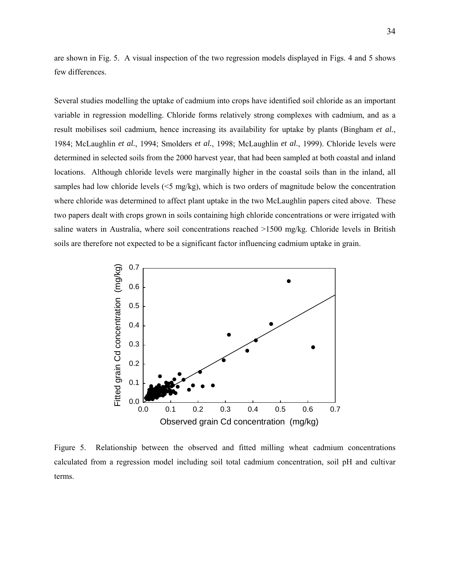are shown in Fig. 5. A visual inspection of the two regression models displayed in Figs. 4 and 5 shows few differences.

Several studies modelling the uptake of cadmium into crops have identified soil chloride as an important variable in regression modelling. Chloride forms relatively strong complexes with cadmium, and as a result mobilises soil cadmium, hence increasing its availability for uptake by plants (Bingham *et al.*, 1984; McLaughlin *et al.*, 1994; Smolders *et al.*, 1998; McLaughlin *et al.*, 1999). Chloride levels were determined in selected soils from the 2000 harvest year, that had been sampled at both coastal and inland locations. Although chloride levels were marginally higher in the coastal soils than in the inland, all samples had low chloride levels  $( $5 \text{ mg/kg}$ ), which is two orders of magnitude below the concentration$ where chloride was determined to affect plant uptake in the two McLaughlin papers cited above. These two papers dealt with crops grown in soils containing high chloride concentrations or were irrigated with saline waters in Australia, where soil concentrations reached >1500 mg/kg. Chloride levels in British soils are therefore not expected to be a significant factor influencing cadmium uptake in grain.



Figure 5. Relationship between the observed and fitted milling wheat cadmium concentrations calculated from a regression model including soil total cadmium concentration, soil pH and cultivar terms.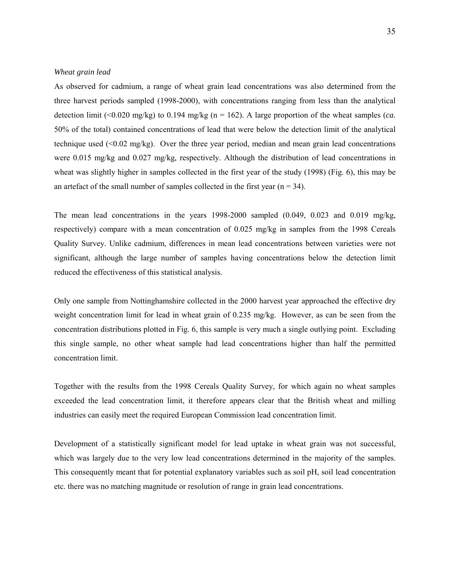### <span id="page-34-0"></span>*Wheat grain lead*

As observed for cadmium, a range of wheat grain lead concentrations was also determined from the three harvest periods sampled (1998-2000), with concentrations ranging from less than the analytical detection limit (<0.020 mg/kg) to 0.194 mg/kg ( $n = 162$ ). A large proportion of the wheat samples (*ca.*) 50% of the total) contained concentrations of lead that were below the detection limit of the analytical technique used  $\langle 0.02 \text{ mg/kg} \rangle$ . Over the three year period, median and mean grain lead concentrations were 0.015 mg/kg and 0.027 mg/kg, respectively. Although the distribution of lead concentrations in wheat was slightly higher in samples collected in the first year of the study (1998) (Fig. 6), this may be an artefact of the small number of samples collected in the first year  $(n = 34)$ .

The mean lead concentrations in the years 1998-2000 sampled (0.049, 0.023 and 0.019 mg/kg, respectively) compare with a mean concentration of 0.025 mg/kg in samples from the 1998 Cereals Quality Survey. Unlike cadmium, differences in mean lead concentrations between varieties were not significant, although the large number of samples having concentrations below the detection limit reduced the effectiveness of this statistical analysis.

Only one sample from Nottinghamshire collected in the 2000 harvest year approached the effective dry weight concentration limit for lead in wheat grain of 0.235 mg/kg. However, as can be seen from the concentration distributions plotted in Fig. 6, this sample is very much a single outlying point. Excluding this single sample, no other wheat sample had lead concentrations higher than half the permitted concentration limit.

Together with the results from the 1998 Cereals Quality Survey, for which again no wheat samples exceeded the lead concentration limit, it therefore appears clear that the British wheat and milling industries can easily meet the required European Commission lead concentration limit.

Development of a statistically significant model for lead uptake in wheat grain was not successful, which was largely due to the very low lead concentrations determined in the majority of the samples. This consequently meant that for potential explanatory variables such as soil pH, soil lead concentration etc. there was no matching magnitude or resolution of range in grain lead concentrations.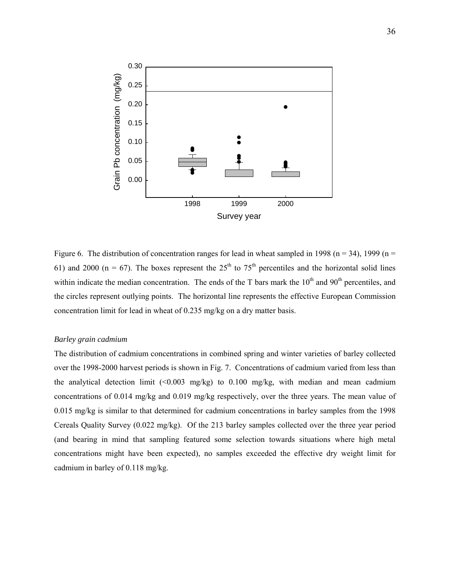<span id="page-35-0"></span>

Figure 6. The distribution of concentration ranges for lead in wheat sampled in 1998 ( $n = 34$ ), 1999 ( $n =$ 61) and 2000 ( $n = 67$ ). The boxes represent the 25<sup>th</sup> to 75<sup>th</sup> percentiles and the horizontal solid lines within indicate the median concentration. The ends of the T bars mark the  $10<sup>th</sup>$  and  $90<sup>th</sup>$  percentiles, and the circles represent outlying points. The horizontal line represents the effective European Commission concentration limit for lead in wheat of 0.235 mg/kg on a dry matter basis.

### *Barley grain cadmium*

The distribution of cadmium concentrations in combined spring and winter varieties of barley collected over the 1998-2000 harvest periods is shown in Fig. 7. Concentrations of cadmium varied from less than the analytical detection limit  $\langle 0.003 \text{ mg/kg} \rangle$  to 0.100 mg/kg, with median and mean cadmium concentrations of 0.014 mg/kg and 0.019 mg/kg respectively, over the three years. The mean value of 0.015 mg/kg is similar to that determined for cadmium concentrations in barley samples from the 1998 Cereals Quality Survey (0.022 mg/kg). Of the 213 barley samples collected over the three year period (and bearing in mind that sampling featured some selection towards situations where high metal concentrations might have been expected), no samples exceeded the effective dry weight limit for cadmium in barley of 0.118 mg/kg.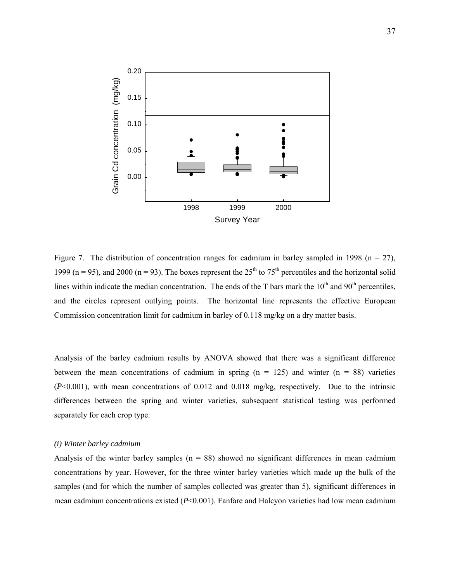<span id="page-36-0"></span>

Figure 7. The distribution of concentration ranges for cadmium in barley sampled in 1998 ( $n = 27$ ), 1999 (n = 95), and 2000 (n = 93). The boxes represent the  $25<sup>th</sup>$  to  $75<sup>th</sup>$  percentiles and the horizontal solid lines within indicate the median concentration. The ends of the T bars mark the  $10<sup>th</sup>$  and  $90<sup>th</sup>$  percentiles, and the circles represent outlying points. The horizontal line represents the effective European Commission concentration limit for cadmium in barley of 0.118 mg/kg on a dry matter basis.

Analysis of the barley cadmium results by ANOVA showed that there was a significant difference between the mean concentrations of cadmium in spring  $(n = 125)$  and winter  $(n = 88)$  varieties (*P*<0.001), with mean concentrations of 0.012 and 0.018 mg/kg, respectively. Due to the intrinsic differences between the spring and winter varieties, subsequent statistical testing was performed separately for each crop type.

### *(i) Winter barley cadmium*

Analysis of the winter barley samples  $(n = 88)$  showed no significant differences in mean cadmium concentrations by year. However, for the three winter barley varieties which made up the bulk of the samples (and for which the number of samples collected was greater than 5), significant differences in mean cadmium concentrations existed (*P*<0.001). Fanfare and Halcyon varieties had low mean cadmium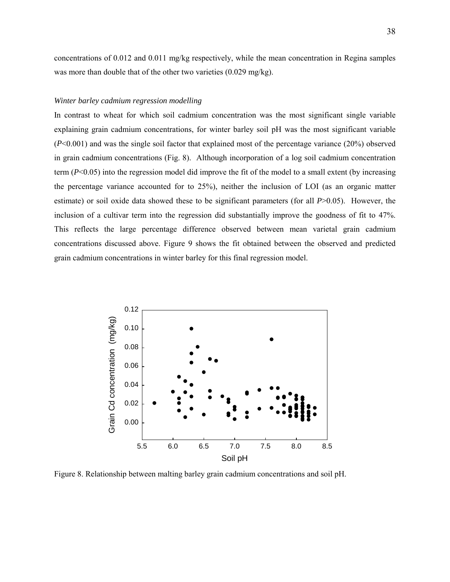<span id="page-37-0"></span>concentrations of 0.012 and 0.011 mg/kg respectively, while the mean concentration in Regina samples was more than double that of the other two varieties (0.029 mg/kg).

### *Winter barley cadmium regression modelling*

In contrast to wheat for which soil cadmium concentration was the most significant single variable explaining grain cadmium concentrations, for winter barley soil pH was the most significant variable (*P*<0.001) and was the single soil factor that explained most of the percentage variance (20%) observed in grain cadmium concentrations (Fig. 8). Although incorporation of a log soil cadmium concentration term (*P*<0.05) into the regression model did improve the fit of the model to a small extent (by increasing the percentage variance accounted for to 25%), neither the inclusion of LOI (as an organic matter estimate) or soil oxide data showed these to be significant parameters (for all *P*>0.05). However, the inclusion of a cultivar term into the regression did substantially improve the goodness of fit to 47%. This reflects the large percentage difference observed between mean varietal grain cadmium concentrations discussed above. Figure 9 shows the fit obtained between the observed and predicted grain cadmium concentrations in winter barley for this final regression model.



Figure 8. Relationship between malting barley grain cadmium concentrations and soil pH.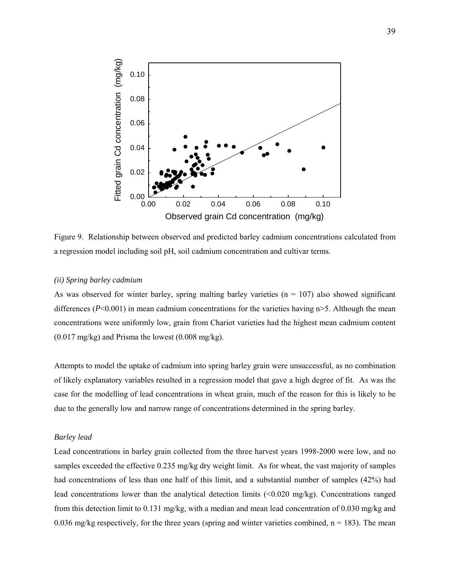<span id="page-38-0"></span>

Figure 9. Relationship between observed and predicted barley cadmium concentrations calculated from a regression model including soil pH, soil cadmium concentration and cultivar terms.

### *(ii) Spring barley cadmium*

As was observed for winter barley, spring malting barley varieties ( $n = 107$ ) also showed significant differences ( $P<0.001$ ) in mean cadmium concentrations for the varieties having  $n>5$ . Although the mean concentrations were uniformly low, grain from Chariot varieties had the highest mean cadmium content  $(0.017 \text{ mg/kg})$  and Prisma the lowest  $(0.008 \text{ mg/kg})$ .

Attempts to model the uptake of cadmium into spring barley grain were unsuccessful, as no combination of likely explanatory variables resulted in a regression model that gave a high degree of fit. As was the case for the modelling of lead concentrations in wheat grain, much of the reason for this is likely to be due to the generally low and narrow range of concentrations determined in the spring barley.

### *Barley lead*

Lead concentrations in barley grain collected from the three harvest years 1998-2000 were low, and no samples exceeded the effective 0.235 mg/kg dry weight limit. As for wheat, the vast majority of samples had concentrations of less than one half of this limit, and a substantial number of samples (42%) had lead concentrations lower than the analytical detection limits (<0.020 mg/kg). Concentrations ranged from this detection limit to 0.131 mg/kg, with a median and mean lead concentration of 0.030 mg/kg and 0.036 mg/kg respectively, for the three years (spring and winter varieties combined,  $n = 183$ ). The mean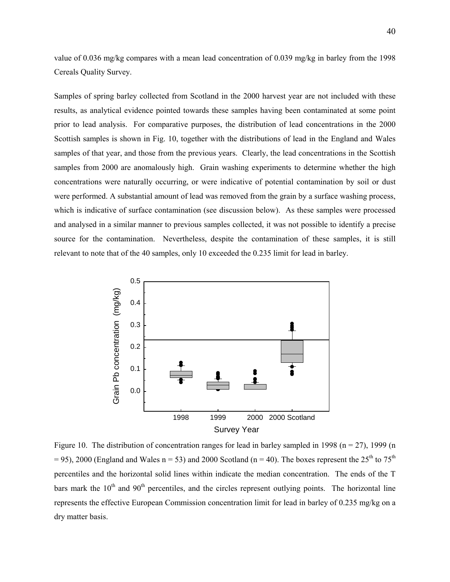value of 0.036 mg/kg compares with a mean lead concentration of 0.039 mg/kg in barley from the 1998 Cereals Quality Survey.

Samples of spring barley collected from Scotland in the 2000 harvest year are not included with these results, as analytical evidence pointed towards these samples having been contaminated at some point prior to lead analysis. For comparative purposes, the distribution of lead concentrations in the 2000 Scottish samples is shown in Fig. 10, together with the distributions of lead in the England and Wales samples of that year, and those from the previous years. Clearly, the lead concentrations in the Scottish samples from 2000 are anomalously high. Grain washing experiments to determine whether the high concentrations were naturally occurring, or were indicative of potential contamination by soil or dust were performed. A substantial amount of lead was removed from the grain by a surface washing process, which is indicative of surface contamination (see discussion below). As these samples were processed and analysed in a similar manner to previous samples collected, it was not possible to identify a precise source for the contamination. Nevertheless, despite the contamination of these samples, it is still relevant to note that of the 40 samples, only 10 exceeded the 0.235 limit for lead in barley.



Figure 10. The distribution of concentration ranges for lead in barley sampled in 1998 ( $n = 27$ ), 1999 (n = 95), 2000 (England and Wales n = 53) and 2000 Scotland (n = 40). The boxes represent the  $25^{th}$  to  $75^{th}$ percentiles and the horizontal solid lines within indicate the median concentration. The ends of the T bars mark the  $10<sup>th</sup>$  and  $90<sup>th</sup>$  percentiles, and the circles represent outlying points. The horizontal line represents the effective European Commission concentration limit for lead in barley of 0.235 mg/kg on a dry matter basis.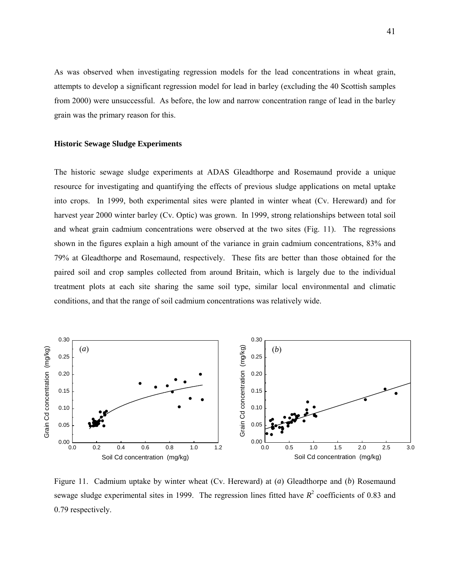<span id="page-40-0"></span>As was observed when investigating regression models for the lead concentrations in wheat grain, attempts to develop a significant regression model for lead in barley (excluding the 40 Scottish samples from 2000) were unsuccessful. As before, the low and narrow concentration range of lead in the barley grain was the primary reason for this.

#### **Historic Sewage Sludge Experiments**

The historic sewage sludge experiments at ADAS Gleadthorpe and Rosemaund provide a unique resource for investigating and quantifying the effects of previous sludge applications on metal uptake into crops. In 1999, both experimental sites were planted in winter wheat (Cv. Hereward) and for harvest year 2000 winter barley (Cv. Optic) was grown. In 1999, strong relationships between total soil and wheat grain cadmium concentrations were observed at the two sites (Fig. 11). The regressions shown in the figures explain a high amount of the variance in grain cadmium concentrations, 83% and 79% at Gleadthorpe and Rosemaund, respectively. These fits are better than those obtained for the paired soil and crop samples collected from around Britain, which is largely due to the individual treatment plots at each site sharing the same soil type, similar local environmental and climatic conditions, and that the range of soil cadmium concentrations was relatively wide.



Figure 11. Cadmium uptake by winter wheat (Cv. Hereward) at (*a*) Gleadthorpe and (*b*) Rosemaund sewage sludge experimental sites in 1999. The regression lines fitted have  $R^2$  coefficients of 0.83 and 0.79 respectively.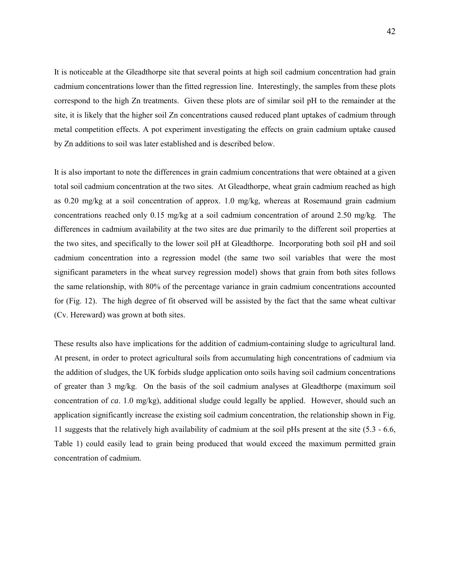It is noticeable at the Gleadthorpe site that several points at high soil cadmium concentration had grain cadmium concentrations lower than the fitted regression line. Interestingly, the samples from these plots correspond to the high Zn treatments. Given these plots are of similar soil pH to the remainder at the site, it is likely that the higher soil Zn concentrations caused reduced plant uptakes of cadmium through metal competition effects. A pot experiment investigating the effects on grain cadmium uptake caused by Zn additions to soil was later established and is described below.

It is also important to note the differences in grain cadmium concentrations that were obtained at a given total soil cadmium concentration at the two sites. At Gleadthorpe, wheat grain cadmium reached as high as 0.20 mg/kg at a soil concentration of approx. 1.0 mg/kg, whereas at Rosemaund grain cadmium concentrations reached only 0.15 mg/kg at a soil cadmium concentration of around 2.50 mg/kg. The differences in cadmium availability at the two sites are due primarily to the different soil properties at the two sites, and specifically to the lower soil pH at Gleadthorpe. Incorporating both soil pH and soil cadmium concentration into a regression model (the same two soil variables that were the most significant parameters in the wheat survey regression model) shows that grain from both sites follows the same relationship, with 80% of the percentage variance in grain cadmium concentrations accounted for (Fig. 12). The high degree of fit observed will be assisted by the fact that the same wheat cultivar (Cv. Hereward) was grown at both sites.

These results also have implications for the addition of cadmium-containing sludge to agricultural land. At present, in order to protect agricultural soils from accumulating high concentrations of cadmium via the addition of sludges, the UK forbids sludge application onto soils having soil cadmium concentrations of greater than 3 mg/kg. On the basis of the soil cadmium analyses at Gleadthorpe (maximum soil concentration of *ca*. 1.0 mg/kg), additional sludge could legally be applied. However, should such an application significantly increase the existing soil cadmium concentration, the relationship shown in Fig. 11 suggests that the relatively high availability of cadmium at the soil pHs present at the site (5.3 - 6.6, Table 1) could easily lead to grain being produced that would exceed the maximum permitted grain concentration of cadmium.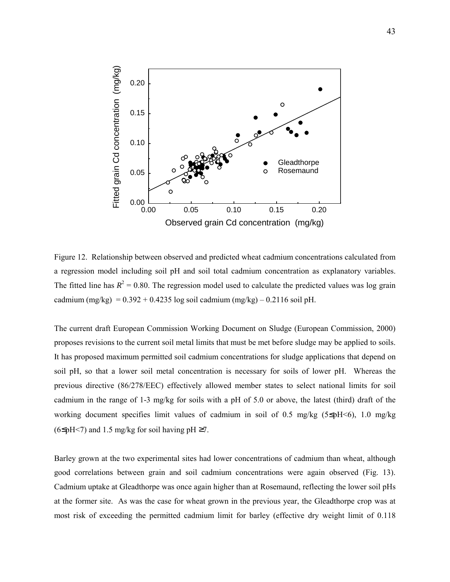

Figure 12. Relationship between observed and predicted wheat cadmium concentrations calculated from a regression model including soil pH and soil total cadmium concentration as explanatory variables. The fitted line has  $R^2 = 0.80$ . The regression model used to calculate the predicted values was log grain cadmium (mg/kg) =  $0.392 + 0.4235$  log soil cadmium (mg/kg) –  $0.2116$  soil pH.

The current draft European Commission Working Document on Sludge (European Commission, 2000) proposes revisions to the current soil metal limits that must be met before sludge may be applied to soils. It has proposed maximum permitted soil cadmium concentrations for sludge applications that depend on soil pH, so that a lower soil metal concentration is necessary for soils of lower pH. Whereas the previous directive (86/278/EEC) effectively allowed member states to select national limits for soil cadmium in the range of 1-3 mg/kg for soils with a pH of 5.0 or above, the latest (third) draft of the working document specifies limit values of cadmium in soil of 0.5 mg/kg ( $5\leq pH < 6$ ), 1.0 mg/kg  $(6\leq pH \leq 7)$  and 1.5 mg/kg for soil having pH ≥7.

Barley grown at the two experimental sites had lower concentrations of cadmium than wheat, although good correlations between grain and soil cadmium concentrations were again observed (Fig. 13). Cadmium uptake at Gleadthorpe was once again higher than at Rosemaund, reflecting the lower soil pHs at the former site. As was the case for wheat grown in the previous year, the Gleadthorpe crop was at most risk of exceeding the permitted cadmium limit for barley (effective dry weight limit of 0.118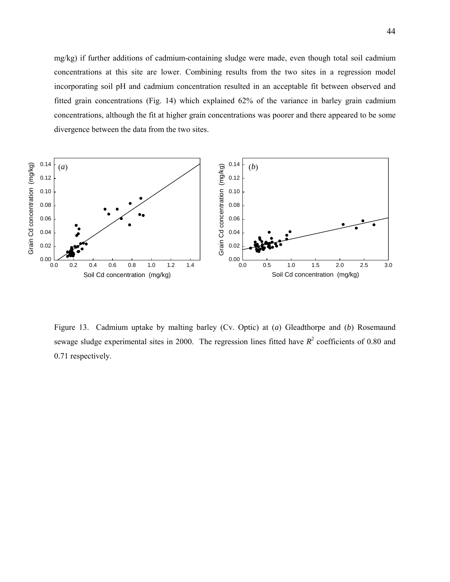mg/kg) if further additions of cadmium-containing sludge were made, even though total soil cadmium concentrations at this site are lower. Combining results from the two sites in a regression model incorporating soil pH and cadmium concentration resulted in an acceptable fit between observed and fitted grain concentrations (Fig. 14) which explained 62% of the variance in barley grain cadmium concentrations, although the fit at higher grain concentrations was poorer and there appeared to be some divergence between the data from the two sites.



Figure 13. Cadmium uptake by malting barley (Cv. Optic) at (*a*) Gleadthorpe and (*b*) Rosemaund sewage sludge experimental sites in 2000. The regression lines fitted have  $R^2$  coefficients of 0.80 and 0.71 respectively.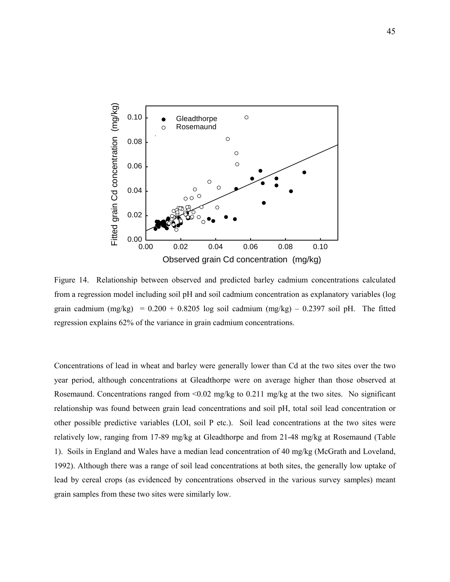

Figure 14. Relationship between observed and predicted barley cadmium concentrations calculated from a regression model including soil pH and soil cadmium concentration as explanatory variables (log grain cadmium  $(mg/kg) = 0.200 + 0.8205$  log soil cadmium  $(mg/kg) - 0.2397$  soil pH. The fitted regression explains 62% of the variance in grain cadmium concentrations.

Concentrations of lead in wheat and barley were generally lower than Cd at the two sites over the two year period, although concentrations at Gleadthorpe were on average higher than those observed at Rosemaund. Concentrations ranged from  $\leq 0.02$  mg/kg to 0.211 mg/kg at the two sites. No significant relationship was found between grain lead concentrations and soil pH, total soil lead concentration or other possible predictive variables (LOI, soil P etc.). Soil lead concentrations at the two sites were relatively low, ranging from 17-89 mg/kg at Gleadthorpe and from 21-48 mg/kg at Rosemaund (Table 1). Soils in England and Wales have a median lead concentration of 40 mg/kg (McGrath and Loveland, 1992). Although there was a range of soil lead concentrations at both sites, the generally low uptake of lead by cereal crops (as evidenced by concentrations observed in the various survey samples) meant grain samples from these two sites were similarly low.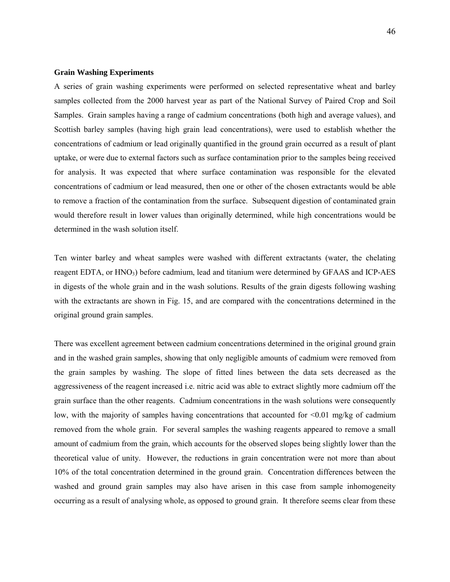### <span id="page-45-0"></span>**Grain Washing Experiments**

A series of grain washing experiments were performed on selected representative wheat and barley samples collected from the 2000 harvest year as part of the National Survey of Paired Crop and Soil Samples. Grain samples having a range of cadmium concentrations (both high and average values), and Scottish barley samples (having high grain lead concentrations), were used to establish whether the concentrations of cadmium or lead originally quantified in the ground grain occurred as a result of plant uptake, or were due to external factors such as surface contamination prior to the samples being received for analysis. It was expected that where surface contamination was responsible for the elevated concentrations of cadmium or lead measured, then one or other of the chosen extractants would be able to remove a fraction of the contamination from the surface. Subsequent digestion of contaminated grain would therefore result in lower values than originally determined, while high concentrations would be determined in the wash solution itself.

Ten winter barley and wheat samples were washed with different extractants (water, the chelating reagent EDTA, or HNO<sub>3</sub>) before cadmium, lead and titanium were determined by GFAAS and ICP-AES in digests of the whole grain and in the wash solutions. Results of the grain digests following washing with the extractants are shown in Fig. 15, and are compared with the concentrations determined in the original ground grain samples.

There was excellent agreement between cadmium concentrations determined in the original ground grain and in the washed grain samples, showing that only negligible amounts of cadmium were removed from the grain samples by washing. The slope of fitted lines between the data sets decreased as the aggressiveness of the reagent increased i.e. nitric acid was able to extract slightly more cadmium off the grain surface than the other reagents. Cadmium concentrations in the wash solutions were consequently low, with the majority of samples having concentrations that accounted for  $\leq 0.01$  mg/kg of cadmium removed from the whole grain. For several samples the washing reagents appeared to remove a small amount of cadmium from the grain, which accounts for the observed slopes being slightly lower than the theoretical value of unity. However, the reductions in grain concentration were not more than about 10% of the total concentration determined in the ground grain. Concentration differences between the washed and ground grain samples may also have arisen in this case from sample inhomogeneity occurring as a result of analysing whole, as opposed to ground grain. It therefore seems clear from these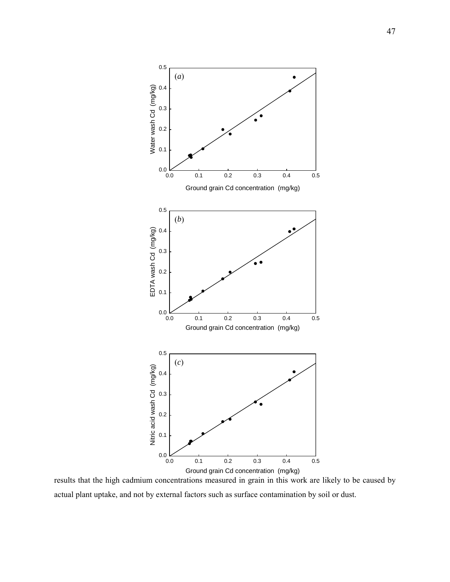

results that the high cadmium concentrations measured in grain in this work are likely to be caused by actual plant uptake, and not by external factors such as surface contamination by soil or dust.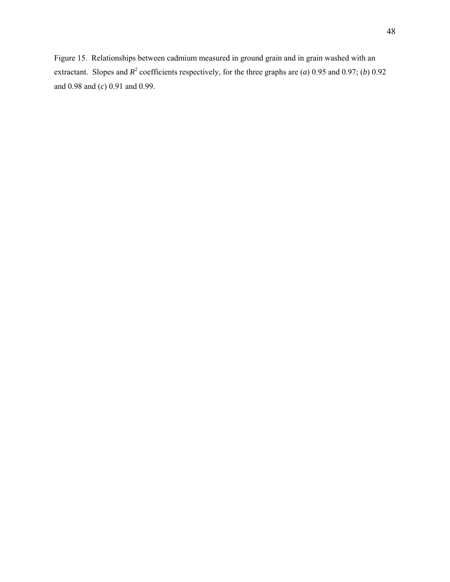Figure 15. Relationships between cadmium measured in ground grain and in grain washed with an extractant. Slopes and  $R^2$  coefficients respectively, for the three graphs are (*a*) 0.95 and 0.97; (*b*) 0.92 and 0.98 and (*c*) 0.91 and 0.99.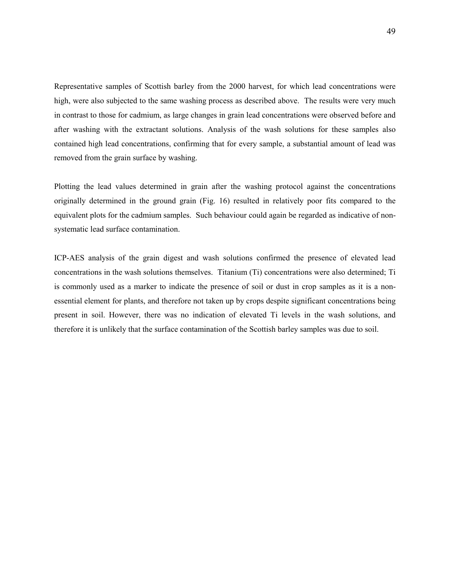Representative samples of Scottish barley from the 2000 harvest, for which lead concentrations were high, were also subjected to the same washing process as described above. The results were very much in contrast to those for cadmium, as large changes in grain lead concentrations were observed before and after washing with the extractant solutions. Analysis of the wash solutions for these samples also contained high lead concentrations, confirming that for every sample, a substantial amount of lead was removed from the grain surface by washing.

Plotting the lead values determined in grain after the washing protocol against the concentrations originally determined in the ground grain (Fig. 16) resulted in relatively poor fits compared to the equivalent plots for the cadmium samples. Such behaviour could again be regarded as indicative of nonsystematic lead surface contamination.

ICP-AES analysis of the grain digest and wash solutions confirmed the presence of elevated lead concentrations in the wash solutions themselves. Titanium (Ti) concentrations were also determined; Ti is commonly used as a marker to indicate the presence of soil or dust in crop samples as it is a nonessential element for plants, and therefore not taken up by crops despite significant concentrations being present in soil. However, there was no indication of elevated Ti levels in the wash solutions, and therefore it is unlikely that the surface contamination of the Scottish barley samples was due to soil.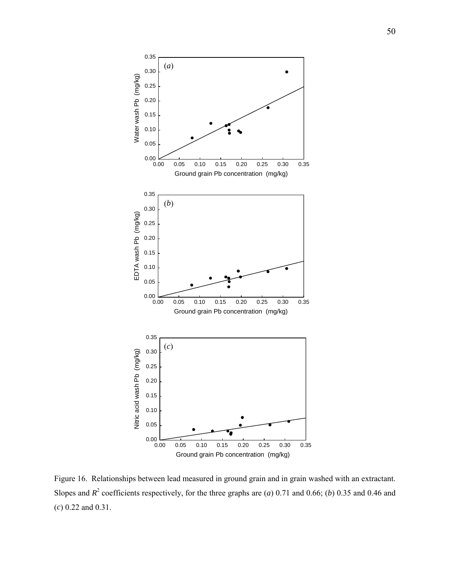

Figure 16. Relationships between lead measured in ground grain and in grain washed with an extractant. Slopes and  $R^2$  coefficients respectively, for the three graphs are (*a*) 0.71 and 0.66; (*b*) 0.35 and 0.46 and (*c*) 0.22 and 0.31.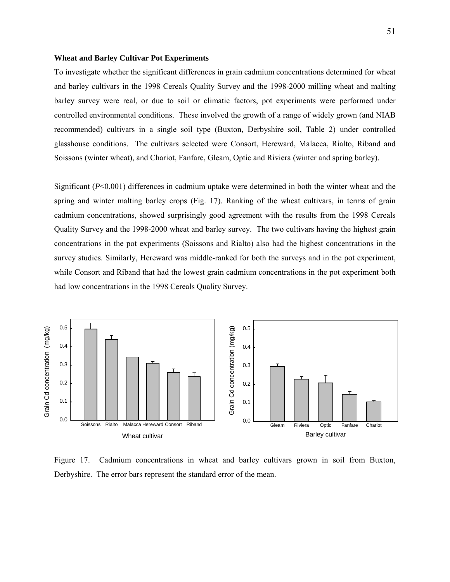#### <span id="page-50-0"></span>**Wheat and Barley Cultivar Pot Experiments**

To investigate whether the significant differences in grain cadmium concentrations determined for wheat and barley cultivars in the 1998 Cereals Quality Survey and the 1998-2000 milling wheat and malting barley survey were real, or due to soil or climatic factors, pot experiments were performed under controlled environmental conditions. These involved the growth of a range of widely grown (and NIAB recommended) cultivars in a single soil type (Buxton, Derbyshire soil, Table 2) under controlled glasshouse conditions. The cultivars selected were Consort, Hereward, Malacca, Rialto, Riband and Soissons (winter wheat), and Chariot, Fanfare, Gleam, Optic and Riviera (winter and spring barley).

Significant (*P*<0.001) differences in cadmium uptake were determined in both the winter wheat and the spring and winter malting barley crops (Fig. 17). Ranking of the wheat cultivars, in terms of grain cadmium concentrations, showed surprisingly good agreement with the results from the 1998 Cereals Quality Survey and the 1998-2000 wheat and barley survey. The two cultivars having the highest grain concentrations in the pot experiments (Soissons and Rialto) also had the highest concentrations in the survey studies. Similarly, Hereward was middle-ranked for both the surveys and in the pot experiment, while Consort and Riband that had the lowest grain cadmium concentrations in the pot experiment both had low concentrations in the 1998 Cereals Quality Survey.



Figure 17. Cadmium concentrations in wheat and barley cultivars grown in soil from Buxton, Derbyshire. The error bars represent the standard error of the mean.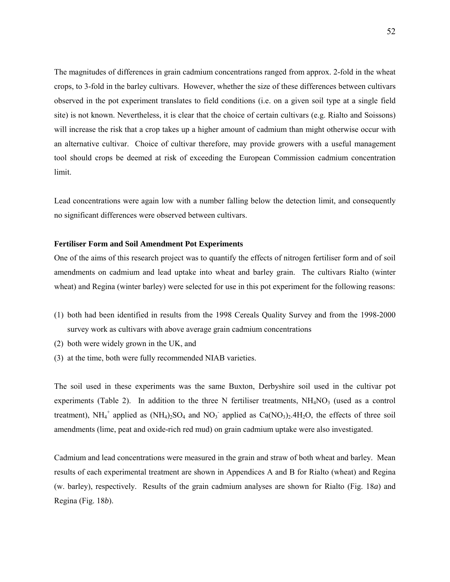<span id="page-51-0"></span>The magnitudes of differences in grain cadmium concentrations ranged from approx. 2-fold in the wheat crops, to 3-fold in the barley cultivars. However, whether the size of these differences between cultivars observed in the pot experiment translates to field conditions (i.e. on a given soil type at a single field site) is not known. Nevertheless, it is clear that the choice of certain cultivars (e.g. Rialto and Soissons) will increase the risk that a crop takes up a higher amount of cadmium than might otherwise occur with an alternative cultivar. Choice of cultivar therefore, may provide growers with a useful management tool should crops be deemed at risk of exceeding the European Commission cadmium concentration limit.

Lead concentrations were again low with a number falling below the detection limit, and consequently no significant differences were observed between cultivars.

### **Fertiliser Form and Soil Amendment Pot Experiments**

One of the aims of this research project was to quantify the effects of nitrogen fertiliser form and of soil amendments on cadmium and lead uptake into wheat and barley grain. The cultivars Rialto (winter wheat) and Regina (winter barley) were selected for use in this pot experiment for the following reasons:

- (1) both had been identified in results from the 1998 Cereals Quality Survey and from the 1998-2000 survey work as cultivars with above average grain cadmium concentrations
- (2) both were widely grown in the UK, and
- (3) at the time, both were fully recommended NIAB varieties.

The soil used in these experiments was the same Buxton, Derbyshire soil used in the cultivar pot experiments (Table 2). In addition to the three N fertiliser treatments,  $NH<sub>4</sub>NO<sub>3</sub>$  (used as a control treatment), NH<sub>4</sub><sup>+</sup> applied as  $(NH_4)_2SO_4$  and NO<sub>3</sub><sup>-</sup> applied as  $Ca(NO_3)_2.4H_2O$ , the effects of three soil amendments (lime, peat and oxide-rich red mud) on grain cadmium uptake were also investigated.

Cadmium and lead concentrations were measured in the grain and straw of both wheat and barley. Mean results of each experimental treatment are shown in Appendices A and B for Rialto (wheat) and Regina (w. barley), respectively. Results of the grain cadmium analyses are shown for Rialto (Fig. 18*a*) and Regina (Fig. 18*b*).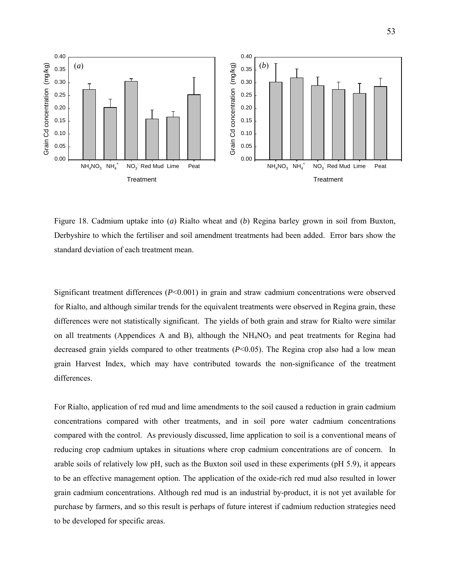

Figure 18. Cadmium uptake into (*a*) Rialto wheat and (*b*) Regina barley grown in soil from Buxton, Derbyshire to which the fertiliser and soil amendment treatments had been added. Error bars show the standard deviation of each treatment mean.

Significant treatment differences (*P*<0.001) in grain and straw cadmium concentrations were observed for Rialto, and although similar trends for the equivalent treatments were observed in Regina grain, these differences were not statistically significant. The yields of both grain and straw for Rialto were similar on all treatments (Appendices A and B), although the  $NH<sub>4</sub>NO<sub>3</sub>$  and peat treatments for Regina had decreased grain yields compared to other treatments (*P*<0.05). The Regina crop also had a low mean grain Harvest Index, which may have contributed towards the non-significance of the treatment differences.

For Rialto, application of red mud and lime amendments to the soil caused a reduction in grain cadmium concentrations compared with other treatments, and in soil pore water cadmium concentrations compared with the control. As previously discussed, lime application to soil is a conventional means of reducing crop cadmium uptakes in situations where crop cadmium concentrations are of concern. In arable soils of relatively low pH, such as the Buxton soil used in these experiments (pH 5.9), it appears to be an effective management option. The application of the oxide-rich red mud also resulted in lower grain cadmium concentrations. Although red mud is an industrial by-product, it is not yet available for purchase by farmers, and so this result is perhaps of future interest if cadmium reduction strategies need to be developed for specific areas.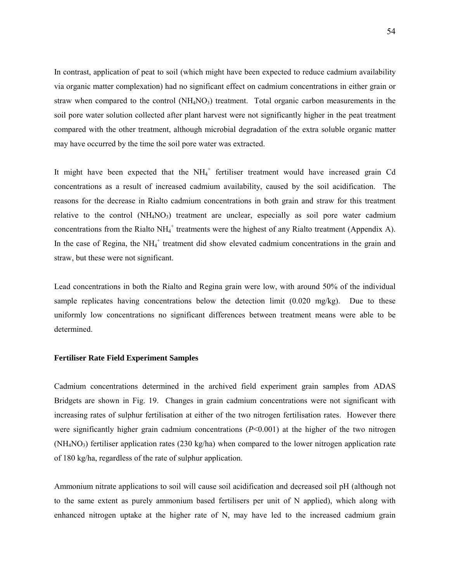<span id="page-53-0"></span>In contrast, application of peat to soil (which might have been expected to reduce cadmium availability via organic matter complexation) had no significant effect on cadmium concentrations in either grain or straw when compared to the control  $(NH_4NO_3)$  treatment. Total organic carbon measurements in the soil pore water solution collected after plant harvest were not significantly higher in the peat treatment compared with the other treatment, although microbial degradation of the extra soluble organic matter may have occurred by the time the soil pore water was extracted.

It might have been expected that the  $NH<sub>4</sub><sup>+</sup>$  fertiliser treatment would have increased grain Cd concentrations as a result of increased cadmium availability, caused by the soil acidification. The reasons for the decrease in Rialto cadmium concentrations in both grain and straw for this treatment relative to the control  $(NH_4NO_3)$  treatment are unclear, especially as soil pore water cadmium concentrations from the Rialto  $NH_4^+$  treatments were the highest of any Rialto treatment (Appendix A). In the case of Regina, the  $NH_4^+$  treatment did show elevated cadmium concentrations in the grain and straw, but these were not significant.

Lead concentrations in both the Rialto and Regina grain were low, with around 50% of the individual sample replicates having concentrations below the detection limit (0.020 mg/kg). Due to these uniformly low concentrations no significant differences between treatment means were able to be determined.

#### **Fertiliser Rate Field Experiment Samples**

Cadmium concentrations determined in the archived field experiment grain samples from ADAS Bridgets are shown in Fig. 19. Changes in grain cadmium concentrations were not significant with increasing rates of sulphur fertilisation at either of the two nitrogen fertilisation rates. However there were significantly higher grain cadmium concentrations  $(P<0.001)$  at the higher of the two nitrogen  $(NH_4NO_3)$  fertiliser application rates (230 kg/ha) when compared to the lower nitrogen application rate of 180 kg/ha, regardless of the rate of sulphur application.

Ammonium nitrate applications to soil will cause soil acidification and decreased soil pH (although not to the same extent as purely ammonium based fertilisers per unit of N applied), which along with enhanced nitrogen uptake at the higher rate of N, may have led to the increased cadmium grain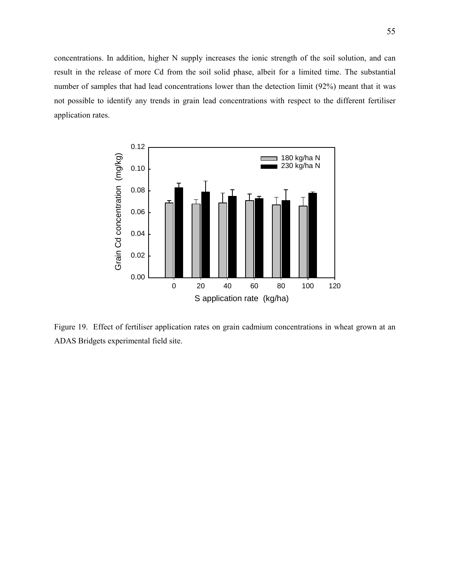concentrations. In addition, higher N supply increases the ionic strength of the soil solution, and can result in the release of more Cd from the soil solid phase, albeit for a limited time. The substantial number of samples that had lead concentrations lower than the detection limit (92%) meant that it was not possible to identify any trends in grain lead concentrations with respect to the different fertiliser application rates.



Figure 19. Effect of fertiliser application rates on grain cadmium concentrations in wheat grown at an ADAS Bridgets experimental field site.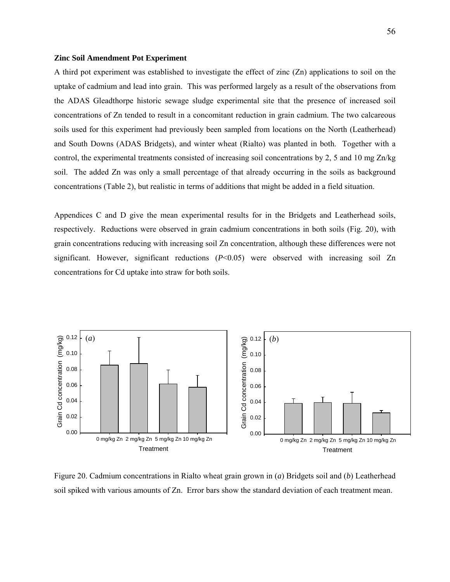#### <span id="page-55-0"></span>**Zinc Soil Amendment Pot Experiment**

A third pot experiment was established to investigate the effect of zinc (Zn) applications to soil on the uptake of cadmium and lead into grain. This was performed largely as a result of the observations from the ADAS Gleadthorpe historic sewage sludge experimental site that the presence of increased soil concentrations of Zn tended to result in a concomitant reduction in grain cadmium. The two calcareous soils used for this experiment had previously been sampled from locations on the North (Leatherhead) and South Downs (ADAS Bridgets), and winter wheat (Rialto) was planted in both. Together with a control, the experimental treatments consisted of increasing soil concentrations by 2, 5 and 10 mg Zn/kg soil. The added Zn was only a small percentage of that already occurring in the soils as background concentrations (Table 2), but realistic in terms of additions that might be added in a field situation.

Appendices C and D give the mean experimental results for in the Bridgets and Leatherhead soils, respectively. Reductions were observed in grain cadmium concentrations in both soils (Fig. 20), with grain concentrations reducing with increasing soil Zn concentration, although these differences were not significant. However, significant reductions (*P*<0.05) were observed with increasing soil Zn concentrations for Cd uptake into straw for both soils.



Figure 20. Cadmium concentrations in Rialto wheat grain grown in (*a*) Bridgets soil and (*b*) Leatherhead soil spiked with various amounts of Zn. Error bars show the standard deviation of each treatment mean.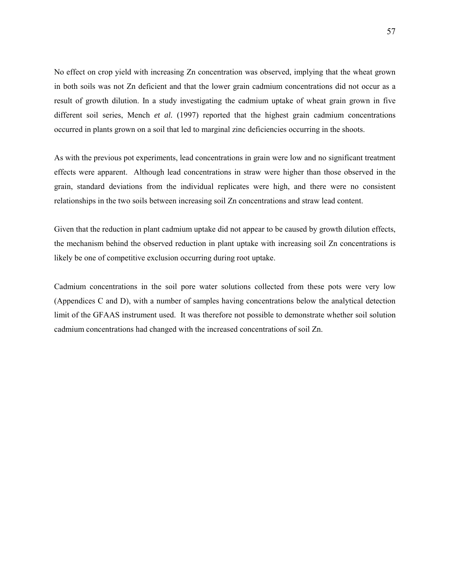No effect on crop yield with increasing Zn concentration was observed, implying that the wheat grown in both soils was not Zn deficient and that the lower grain cadmium concentrations did not occur as a result of growth dilution. In a study investigating the cadmium uptake of wheat grain grown in five different soil series, Mench *et al.* (1997) reported that the highest grain cadmium concentrations occurred in plants grown on a soil that led to marginal zinc deficiencies occurring in the shoots.

As with the previous pot experiments, lead concentrations in grain were low and no significant treatment effects were apparent. Although lead concentrations in straw were higher than those observed in the grain, standard deviations from the individual replicates were high, and there were no consistent relationships in the two soils between increasing soil Zn concentrations and straw lead content.

Given that the reduction in plant cadmium uptake did not appear to be caused by growth dilution effects, the mechanism behind the observed reduction in plant uptake with increasing soil Zn concentrations is likely be one of competitive exclusion occurring during root uptake.

Cadmium concentrations in the soil pore water solutions collected from these pots were very low (Appendices C and D), with a number of samples having concentrations below the analytical detection limit of the GFAAS instrument used. It was therefore not possible to demonstrate whether soil solution cadmium concentrations had changed with the increased concentrations of soil Zn.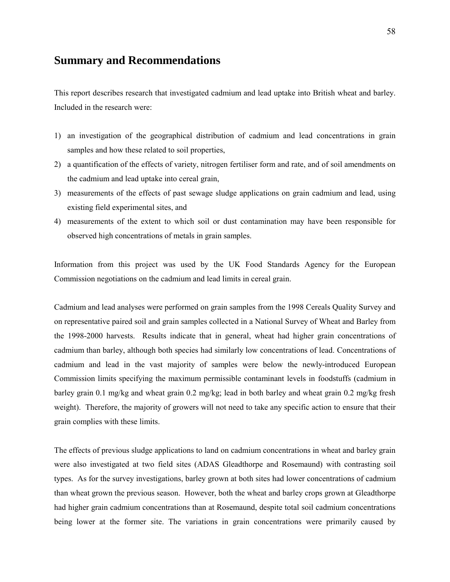## <span id="page-57-0"></span>**Summary and Recommendations**

This report describes research that investigated cadmium and lead uptake into British wheat and barley. Included in the research were:

- 1) an investigation of the geographical distribution of cadmium and lead concentrations in grain samples and how these related to soil properties,
- 2) a quantification of the effects of variety, nitrogen fertiliser form and rate, and of soil amendments on the cadmium and lead uptake into cereal grain,
- 3) measurements of the effects of past sewage sludge applications on grain cadmium and lead, using existing field experimental sites, and
- 4) measurements of the extent to which soil or dust contamination may have been responsible for observed high concentrations of metals in grain samples.

Information from this project was used by the UK Food Standards Agency for the European Commission negotiations on the cadmium and lead limits in cereal grain.

Cadmium and lead analyses were performed on grain samples from the 1998 Cereals Quality Survey and on representative paired soil and grain samples collected in a National Survey of Wheat and Barley from the 1998-2000 harvests. Results indicate that in general, wheat had higher grain concentrations of cadmium than barley, although both species had similarly low concentrations of lead. Concentrations of cadmium and lead in the vast majority of samples were below the newly-introduced European Commission limits specifying the maximum permissible contaminant levels in foodstuffs (cadmium in barley grain 0.1 mg/kg and wheat grain 0.2 mg/kg; lead in both barley and wheat grain 0.2 mg/kg fresh weight). Therefore, the majority of growers will not need to take any specific action to ensure that their grain complies with these limits.

The effects of previous sludge applications to land on cadmium concentrations in wheat and barley grain were also investigated at two field sites (ADAS Gleadthorpe and Rosemaund) with contrasting soil types. As for the survey investigations, barley grown at both sites had lower concentrations of cadmium than wheat grown the previous season. However, both the wheat and barley crops grown at Gleadthorpe had higher grain cadmium concentrations than at Rosemaund, despite total soil cadmium concentrations being lower at the former site. The variations in grain concentrations were primarily caused by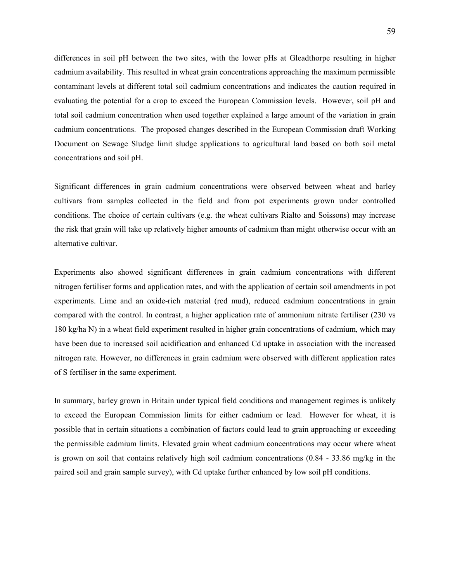differences in soil pH between the two sites, with the lower pHs at Gleadthorpe resulting in higher cadmium availability. This resulted in wheat grain concentrations approaching the maximum permissible contaminant levels at different total soil cadmium concentrations and indicates the caution required in evaluating the potential for a crop to exceed the European Commission levels. However, soil pH and total soil cadmium concentration when used together explained a large amount of the variation in grain cadmium concentrations. The proposed changes described in the European Commission draft Working Document on Sewage Sludge limit sludge applications to agricultural land based on both soil metal concentrations and soil pH.

Significant differences in grain cadmium concentrations were observed between wheat and barley cultivars from samples collected in the field and from pot experiments grown under controlled conditions. The choice of certain cultivars (e.g. the wheat cultivars Rialto and Soissons) may increase the risk that grain will take up relatively higher amounts of cadmium than might otherwise occur with an alternative cultivar.

Experiments also showed significant differences in grain cadmium concentrations with different nitrogen fertiliser forms and application rates, and with the application of certain soil amendments in pot experiments. Lime and an oxide-rich material (red mud), reduced cadmium concentrations in grain compared with the control. In contrast, a higher application rate of ammonium nitrate fertiliser (230 vs 180 kg/ha N) in a wheat field experiment resulted in higher grain concentrations of cadmium, which may have been due to increased soil acidification and enhanced Cd uptake in association with the increased nitrogen rate. However, no differences in grain cadmium were observed with different application rates of S fertiliser in the same experiment.

In summary, barley grown in Britain under typical field conditions and management regimes is unlikely to exceed the European Commission limits for either cadmium or lead. However for wheat, it is possible that in certain situations a combination of factors could lead to grain approaching or exceeding the permissible cadmium limits. Elevated grain wheat cadmium concentrations may occur where wheat is grown on soil that contains relatively high soil cadmium concentrations (0.84 - 33.86 mg/kg in the paired soil and grain sample survey), with Cd uptake further enhanced by low soil pH conditions.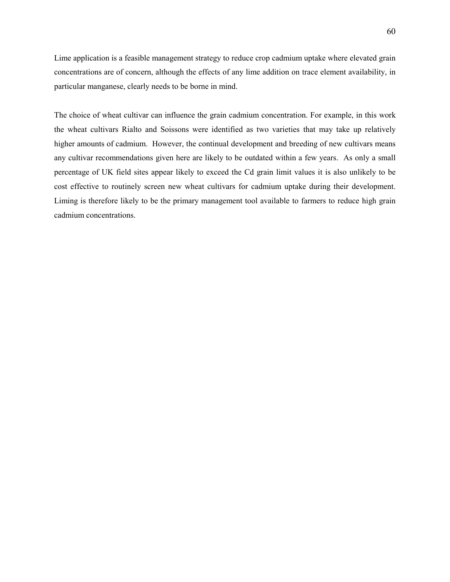Lime application is a feasible management strategy to reduce crop cadmium uptake where elevated grain concentrations are of concern, although the effects of any lime addition on trace element availability, in particular manganese, clearly needs to be borne in mind.

The choice of wheat cultivar can influence the grain cadmium concentration. For example, in this work the wheat cultivars Rialto and Soissons were identified as two varieties that may take up relatively higher amounts of cadmium. However, the continual development and breeding of new cultivars means any cultivar recommendations given here are likely to be outdated within a few years. As only a small percentage of UK field sites appear likely to exceed the Cd grain limit values it is also unlikely to be cost effective to routinely screen new wheat cultivars for cadmium uptake during their development. Liming is therefore likely to be the primary management tool available to farmers to reduce high grain cadmium concentrations.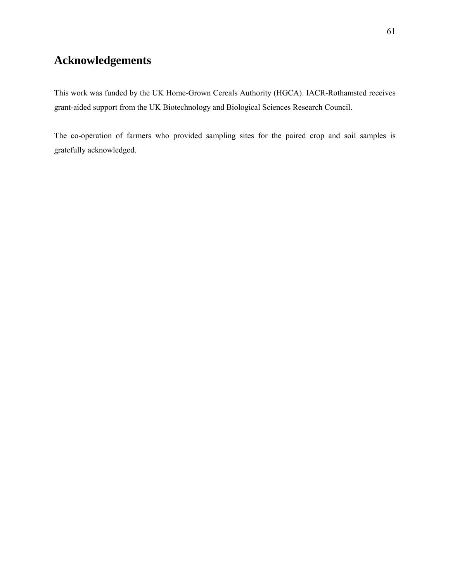## <span id="page-60-0"></span>**Acknowledgements**

This work was funded by the UK Home-Grown Cereals Authority (HGCA). IACR-Rothamsted receives grant-aided support from the UK Biotechnology and Biological Sciences Research Council.

The co-operation of farmers who provided sampling sites for the paired crop and soil samples is gratefully acknowledged.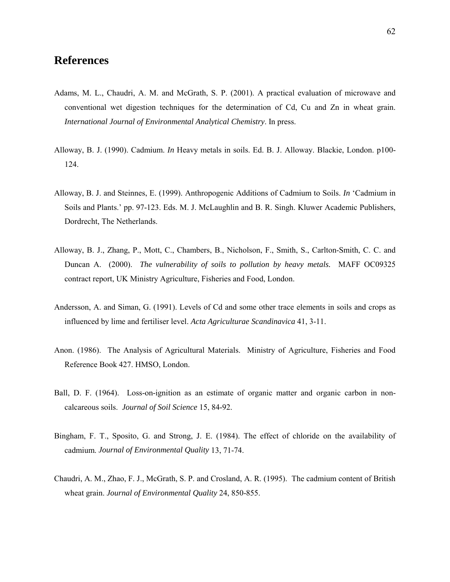## <span id="page-61-0"></span>**References**

- Adams, M. L., Chaudri, A. M. and McGrath, S. P. (2001). A practical evaluation of microwave and conventional wet digestion techniques for the determination of Cd, Cu and Zn in wheat grain. *International Journal of Environmental Analytical Chemistry*. In press.
- Alloway, B. J. (1990). Cadmium. *In* Heavy metals in soils. Ed. B. J. Alloway. Blackie, London. p100- 124.
- Alloway, B. J. and Steinnes, E. (1999). Anthropogenic Additions of Cadmium to Soils. *In* 'Cadmium in Soils and Plants.' pp. 97-123. Eds. M. J. McLaughlin and B. R. Singh. Kluwer Academic Publishers, Dordrecht, The Netherlands.
- Alloway, B. J., Zhang, P., Mott, C., Chambers, B., Nicholson, F., Smith, S., Carlton-Smith, C. C. and Duncan A. (2000). *The vulnerability of soils to pollution by heavy metals.* MAFF OC09325 contract report, UK Ministry Agriculture, Fisheries and Food, London.
- Andersson, A. and Siman, G. (1991). Levels of Cd and some other trace elements in soils and crops as influenced by lime and fertiliser level. *Acta Agriculturae Scandinavica* 41, 3-11.
- Anon. (1986). The Analysis of Agricultural Materials. Ministry of Agriculture, Fisheries and Food Reference Book 427. HMSO, London.
- Ball, D. F. (1964). Loss-on-ignition as an estimate of organic matter and organic carbon in noncalcareous soils. *Journal of Soil Science* 15, 84-92.
- Bingham, F. T., Sposito, G. and Strong, J. E. (1984). The effect of chloride on the availability of cadmium. *Journal of Environmental Quality* 13, 71-74.
- Chaudri, A. M., Zhao, F. J., McGrath, S. P. and Crosland, A. R. (1995). The cadmium content of British wheat grain. *Journal of Environmental Quality* 24, 850-855.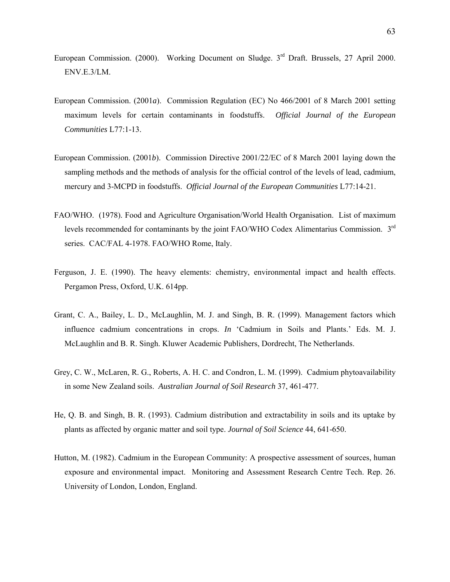- European Commission. (2000). Working Document on Sludge.  $3<sup>rd</sup>$  Draft. Brussels, 27 April 2000. ENV.E.3/LM.
- European Commission. (2001*a*). Commission Regulation (EC) No 466/2001 of 8 March 2001 setting maximum levels for certain contaminants in foodstuffs. *Official Journal of the European Communities* L77:1-13.
- European Commission. (2001*b*). Commission Directive 2001/22/EC of 8 March 2001 laying down the sampling methods and the methods of analysis for the official control of the levels of lead, cadmium, mercury and 3-MCPD in foodstuffs. *Official Journal of the European Communities* L77:14-21.
- FAO/WHO. (1978). Food and Agriculture Organisation/World Health Organisation. List of maximum levels recommended for contaminants by the joint FAO/WHO Codex Alimentarius Commission. 3rd series. CAC/FAL 4-1978. FAO/WHO Rome, Italy.
- Ferguson, J. E. (1990). The heavy elements: chemistry, environmental impact and health effects. Pergamon Press, Oxford, U.K. 614pp.
- Grant, C. A., Bailey, L. D., McLaughlin, M. J. and Singh, B. R. (1999). Management factors which influence cadmium concentrations in crops. *In* 'Cadmium in Soils and Plants.' Eds. M. J. McLaughlin and B. R. Singh. Kluwer Academic Publishers, Dordrecht, The Netherlands.
- Grey, C. W., McLaren, R. G., Roberts, A. H. C. and Condron, L. M. (1999). Cadmium phytoavailability in some New Zealand soils. *Australian Journal of Soil Research* 37, 461-477.
- He, Q. B. and Singh, B. R. (1993). Cadmium distribution and extractability in soils and its uptake by plants as affected by organic matter and soil type. *Journal of Soil Science* 44, 641-650.
- Hutton, M. (1982). Cadmium in the European Community: A prospective assessment of sources, human exposure and environmental impact. Monitoring and Assessment Research Centre Tech. Rep. 26. University of London, London, England.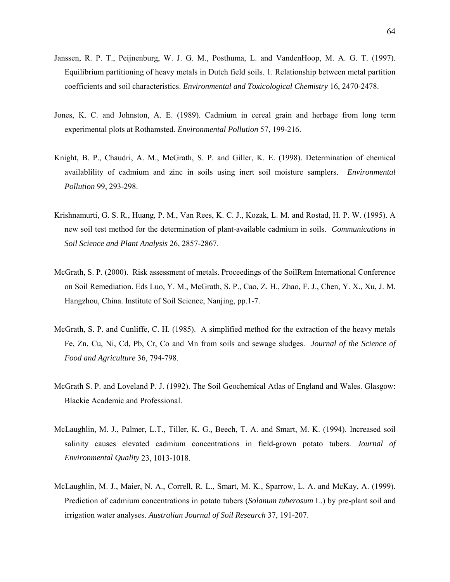- Janssen, R. P. T., Peijnenburg, W. J. G. M., Posthuma, L. and VandenHoop, M. A. G. T. (1997). Equilibrium partitioning of heavy metals in Dutch field soils. 1. Relationship between metal partition coefficients and soil characteristics. *Environmental and Toxicological Chemistry* 16, 2470-2478.
- Jones, K. C. and Johnston, A. E. (1989). Cadmium in cereal grain and herbage from long term experimental plots at Rothamsted. *Environmental Pollution* 57, 199-216.
- Knight, B. P., Chaudri, A. M., McGrath, S. P. and Giller, K. E. (1998). Determination of chemical availablility of cadmium and zinc in soils using inert soil moisture samplers. *Environmental Pollution* 99, 293-298.
- Krishnamurti, G. S. R., Huang, P. M., Van Rees, K. C. J., Kozak, L. M. and Rostad, H. P. W. (1995). A new soil test method for the determination of plant-available cadmium in soils. *Communications in Soil Science and Plant Analysis* 26, 2857-2867.
- McGrath, S. P. (2000). Risk assessment of metals. Proceedings of the SoilRem International Conference on Soil Remediation. Eds Luo, Y. M., McGrath, S. P., Cao, Z. H., Zhao, F. J., Chen, Y. X., Xu, J. M. Hangzhou, China. Institute of Soil Science, Nanjing, pp.1-7.
- McGrath, S. P. and Cunliffe, C. H. (1985). A simplified method for the extraction of the heavy metals Fe, Zn, Cu, Ni, Cd, Pb, Cr, Co and Mn from soils and sewage sludges. *Journal of the Science of Food and Agriculture* 36, 794-798.
- McGrath S. P. and Loveland P. J. (1992). The Soil Geochemical Atlas of England and Wales. Glasgow: Blackie Academic and Professional.
- McLaughlin, M. J., Palmer, L.T., Tiller, K. G., Beech, T. A. and Smart, M. K. (1994). Increased soil salinity causes elevated cadmium concentrations in field-grown potato tubers. *Journal of Environmental Quality* 23, 1013-1018.
- McLaughlin, M. J., Maier, N. A., Correll, R. L., Smart, M. K., Sparrow, L. A. and McKay, A. (1999). Prediction of cadmium concentrations in potato tubers (*Solanum tuberosum* L.) by pre-plant soil and irrigation water analyses. *Australian Journal of Soil Research* 37, 191-207.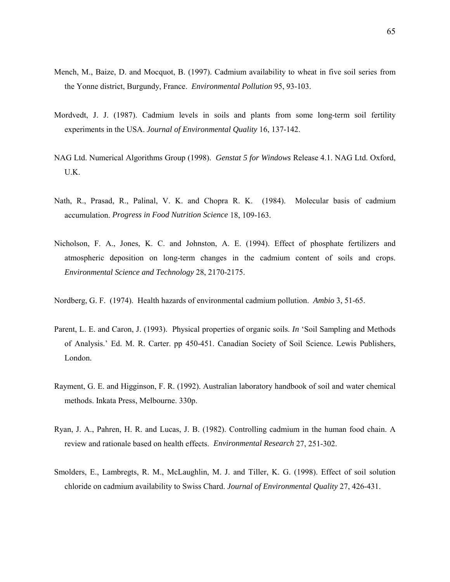- Mench, M., Baize, D. and Mocquot, B. (1997). Cadmium availability to wheat in five soil series from the Yonne district, Burgundy, France. *Environmental Pollution* 95, 93-103.
- Mordvedt, J. J. (1987). Cadmium levels in soils and plants from some long-term soil fertility experiments in the USA. *Journal of Environmental Quality* 16, 137-142.
- NAG Ltd. Numerical Algorithms Group (1998). *Genstat 5 for Windows* Release 4.1. NAG Ltd. Oxford, U.K.
- Nath, R., Prasad, R., Palinal, V. K. and Chopra R. K. (1984). Molecular basis of cadmium accumulation. *Progress in Food Nutrition Science* 18, 109-163.
- Nicholson, F. A., Jones, K. C. and Johnston, A. E. (1994). Effect of phosphate fertilizers and atmospheric deposition on long-term changes in the cadmium content of soils and crops. *Environmental Science and Technology* 28, 2170-2175.
- Nordberg, G. F. (1974). Health hazards of environmental cadmium pollution. *Ambio* 3, 51-65.
- Parent, L. E. and Caron, J. (1993). Physical properties of organic soils. *In* 'Soil Sampling and Methods of Analysis.' Ed. M. R. Carter. pp 450-451. Canadian Society of Soil Science. Lewis Publishers, London.
- Rayment, G. E. and Higginson, F. R. (1992). Australian laboratory handbook of soil and water chemical methods. Inkata Press, Melbourne. 330p.
- Ryan, J. A., Pahren, H. R. and Lucas, J. B. (1982). Controlling cadmium in the human food chain. A review and rationale based on health effects. *Environmental Research* 27, 251-302.
- Smolders, E., Lambregts, R. M., McLaughlin, M. J. and Tiller, K. G. (1998). Effect of soil solution chloride on cadmium availability to Swiss Chard. *Journal of Environmental Quality* 27, 426-431.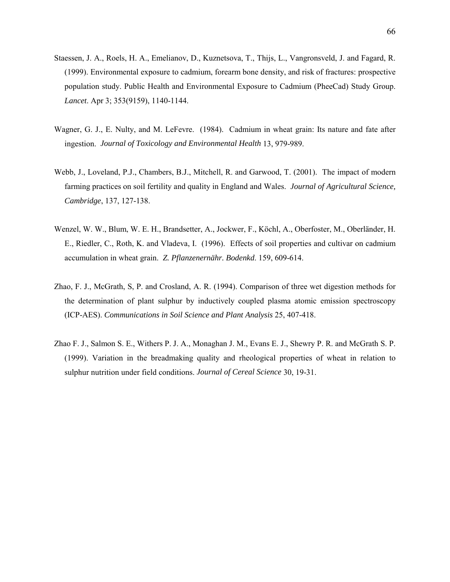- Staessen, J. A., Roels, H. A., Emelianov, D., Kuznetsova, T., Thijs, L., Vangronsveld, J. and Fagard, R. (1999). Environmental exposure to cadmium, forearm bone density, and risk of fractures: prospective population study. Public Health and Environmental Exposure to Cadmium (PheeCad) Study Group. *Lancet*. Apr 3; 353(9159), 1140-1144.
- Wagner, G. J., E. Nulty, and M. LeFevre. (1984). Cadmium in wheat grain: Its nature and fate after ingestion. *Journal of Toxicology and Environmental Health* 13, 979-989.
- Webb, J., Loveland, P.J., Chambers, B.J., Mitchell, R. and Garwood, T. (2001). The impact of modern farming practices on soil fertility and quality in England and Wales. *Journal of Agricultural Science, Cambridge*, 137, 127-138.
- Wenzel, W. W., Blum, W. E. H., Brandsetter, A., Jockwer, F., Köchl, A., Oberfoster, M., Oberländer, H. E., Riedler, C., Roth, K. and Vladeva, I. (1996). Effects of soil properties and cultivar on cadmium accumulation in wheat grain. *Z. Pflanzenernähr. Bodenkd*. 159, 609-614.
- Zhao, F. J., McGrath, S, P. and Crosland, A. R. (1994). Comparison of three wet digestion methods for the determination of plant sulphur by inductively coupled plasma atomic emission spectroscopy (ICP-AES). *Communications in Soil Science and Plant Analysis* 25, 407-418.
- Zhao F. J., Salmon S. E., Withers P. J. A., Monaghan J. M., Evans E. J., Shewry P. R. and McGrath S. P. (1999). Variation in the breadmaking quality and rheological properties of wheat in relation to sulphur nutrition under field conditions. *Journal of Cereal Science* 30, 19-31.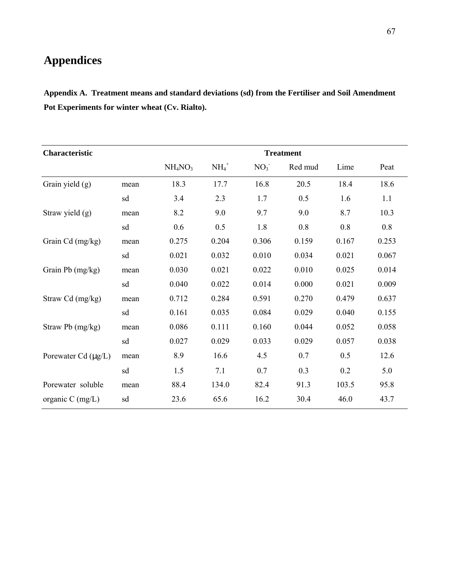# <span id="page-66-0"></span>**Appendices**

**Appendix A. Treatment means and standard deviations (sd) from the Fertiliser and Soil Amendment Pot Experiments for winter wheat (Cv. Rialto).**

| <b>Characteristic</b> |                                 |        |                 |         |                  |       |  |  |  |
|-----------------------|---------------------------------|--------|-----------------|---------|------------------|-------|--|--|--|
|                       | NH <sub>4</sub> NO <sub>3</sub> | $NH4+$ | NO <sub>3</sub> | Red mud | Lime             | Peat  |  |  |  |
| mean                  | 18.3                            | 17.7   | 16.8            | 20.5    | 18.4             | 18.6  |  |  |  |
| sd                    | 3.4                             | 2.3    | 1.7             | 0.5     | 1.6              | 1.1   |  |  |  |
| mean                  | 8.2                             | 9.0    | 9.7             | 9.0     | 8.7              | 10.3  |  |  |  |
| sd                    | 0.6                             | 0.5    | 1.8             | 0.8     | 0.8              | 0.8   |  |  |  |
| mean                  | 0.275                           | 0.204  | 0.306           | 0.159   | 0.167            | 0.253 |  |  |  |
| sd                    | 0.021                           | 0.032  | 0.010           | 0.034   | 0.021            | 0.067 |  |  |  |
| mean                  | 0.030                           | 0.021  | 0.022           | 0.010   | 0.025            | 0.014 |  |  |  |
| sd                    | 0.040                           | 0.022  | 0.014           | 0.000   | 0.021            | 0.009 |  |  |  |
| mean                  | 0.712                           | 0.284  | 0.591           | 0.270   | 0.479            | 0.637 |  |  |  |
| sd                    | 0.161                           | 0.035  | 0.084           | 0.029   | 0.040            | 0.155 |  |  |  |
| mean                  | 0.086                           | 0.111  | 0.160           | 0.044   | 0.052            | 0.058 |  |  |  |
| sd                    | 0.027                           | 0.029  | 0.033           | 0.029   | 0.057            | 0.038 |  |  |  |
| mean                  | 8.9                             | 16.6   | 4.5             | 0.7     | 0.5              | 12.6  |  |  |  |
| sd                    | 1.5                             | 7.1    | 0.7             | 0.3     | 0.2              | 5.0   |  |  |  |
| mean                  | 88.4                            | 134.0  | 82.4            | 91.3    | 103.5            | 95.8  |  |  |  |
| sd                    | 23.6                            | 65.6   | 16.2            | 30.4    | 46.0             | 43.7  |  |  |  |
|                       |                                 |        |                 |         | <b>Treatment</b> |       |  |  |  |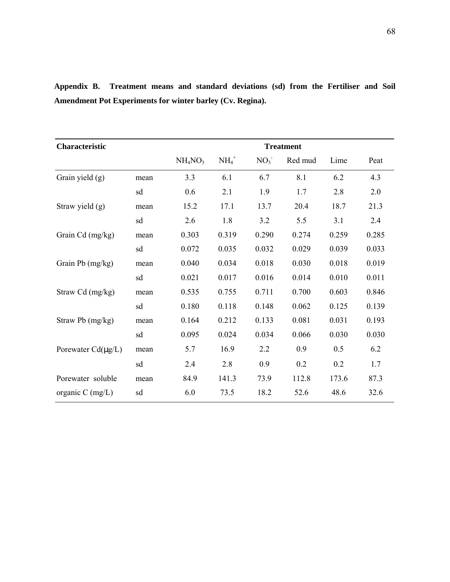| Characteristic          | <b>Treatment</b> |                                 |          |                 |         |       |       |
|-------------------------|------------------|---------------------------------|----------|-----------------|---------|-------|-------|
|                         |                  | NH <sub>4</sub> NO <sub>3</sub> | $NH_4^+$ | NO <sub>3</sub> | Red mud | Lime  | Peat  |
| Grain yield (g)         | mean             | 3.3                             | 6.1      | 6.7             | 8.1     | 6.2   | 4.3   |
|                         | sd               | 0.6                             | 2.1      | 1.9             | 1.7     | 2.8   | 2.0   |
| Straw yield (g)         | mean             | 15.2                            | 17.1     | 13.7            | 20.4    | 18.7  | 21.3  |
|                         | sd               | 2.6                             | 1.8      | 3.2             | 5.5     | 3.1   | 2.4   |
| Grain Cd (mg/kg)        | mean             | 0.303                           | 0.319    | 0.290           | 0.274   | 0.259 | 0.285 |
|                         | sd               | 0.072                           | 0.035    | 0.032           | 0.029   | 0.039 | 0.033 |
| Grain Pb (mg/kg)        | mean             | 0.040                           | 0.034    | 0.018           | 0.030   | 0.018 | 0.019 |
|                         | sd               | 0.021                           | 0.017    | 0.016           | 0.014   | 0.010 | 0.011 |
| Straw Cd (mg/kg)        | mean             | 0.535                           | 0.755    | 0.711           | 0.700   | 0.603 | 0.846 |
|                         | sd               | 0.180                           | 0.118    | 0.148           | 0.062   | 0.125 | 0.139 |
| Straw Pb (mg/kg)        | mean             | 0.164                           | 0.212    | 0.133           | 0.081   | 0.031 | 0.193 |
|                         | sd               | 0.095                           | 0.024    | 0.034           | 0.066   | 0.030 | 0.030 |
| Porewater $Cd(\mu g/L)$ | mean             | 5.7                             | 16.9     | 2.2             | 0.9     | 0.5   | 6.2   |
|                         | sd               | 2.4                             | 2.8      | 0.9             | 0.2     | 0.2   | 1.7   |
| Porewater soluble       | mean             | 84.9                            | 141.3    | 73.9            | 112.8   | 173.6 | 87.3  |
| organic $C$ (mg/L)      | sd               | 6.0                             | 73.5     | 18.2            | 52.6    | 48.6  | 32.6  |

**Appendix B. Treatment means and standard deviations (sd) from the Fertiliser and Soil Amendment Pot Experiments for winter barley (Cv. Regina).**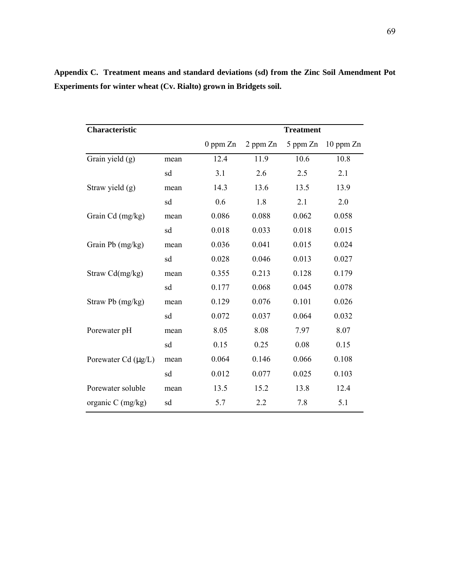| <b>Characteristic</b>    |      | <b>Treatment</b> |          |          |           |
|--------------------------|------|------------------|----------|----------|-----------|
|                          |      | $0$ ppm $Zn$     | 2 ppm Zn | 5 ppm Zn | 10 ppm Zn |
| Grain yield (g)          | mean | 12.4             | 11.9     | 10.6     | 10.8      |
|                          | sd   | 3.1              | 2.6      | 2.5      | 2.1       |
| Straw yield (g)          | mean | 14.3             | 13.6     | 13.5     | 13.9      |
|                          | sd   | 0.6              | 1.8      | 2.1      | 2.0       |
| Grain Cd (mg/kg)         | mean | 0.086            | 0.088    | 0.062    | 0.058     |
|                          | sd   | 0.018            | 0.033    | 0.018    | 0.015     |
| Grain Pb (mg/kg)         | mean | 0.036            | 0.041    | 0.015    | 0.024     |
|                          | sd   | 0.028            | 0.046    | 0.013    | 0.027     |
| Straw Cd(mg/kg)          | mean | 0.355            | 0.213    | 0.128    | 0.179     |
|                          | sd   | 0.177            | 0.068    | 0.045    | 0.078     |
| Straw Pb (mg/kg)         | mean | 0.129            | 0.076    | 0.101    | 0.026     |
|                          | sd   | 0.072            | 0.037    | 0.064    | 0.032     |
| Porewater pH             | mean | 8.05             | 8.08     | 7.97     | 8.07      |
|                          | sd   | 0.15             | 0.25     | 0.08     | 0.15      |
| Porewater Cd $(\mu g/L)$ | mean | 0.064            | 0.146    | 0.066    | 0.108     |
|                          | sd   | 0.012            | 0.077    | 0.025    | 0.103     |
| Porewater soluble        | mean | 13.5             | 15.2     | 13.8     | 12.4      |
| organic C (mg/kg)        | sd   | 5.7              | 2.2      | 7.8      | 5.1       |

**Appendix C. Treatment means and standard deviations (sd) from the Zinc Soil Amendment Pot Experiments for winter wheat (Cv. Rialto) grown in Bridgets soil.**